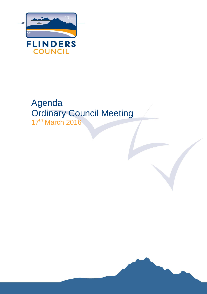

# Agenda Ordinary Council Meeting 17<sup>th</sup> March 2016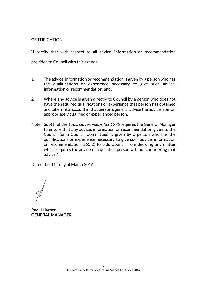# **CERTIFICATION**

"I certify that with respect to all advice, information or recommendation provided to Council with this agenda:

- 1. The advice, information or recommendation is given by a person who has the qualifications or experience necessary to give such advice, information or recommendation, and;
- 2. Where any advice is given directly to Council by a person who does not have the required qualifications or experience that person has obtained and taken into account in that person's general advice the advice from an appropriately qualified or experienced person.
- Note: S65(1) of the *Local Government Act 1993* requires the General Manager to ensure that any advice, information or recommendation given to the Council (or a Council Committee) is given by a person who has the qualifications or experience necessary to give such advice, information or recommendation. S65(2) forbids Council from deciding any matter which requires the advice of a qualified person without considering that advice."

Dated this  $11^{\text{th}}$  day of March 2016.

Raoul Harper GENERAL MANAGER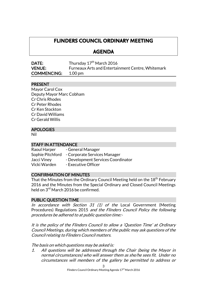# **FLINDERS COUNCIL ORDINARY MEETING**

# **AGENDA**

| DATE:              | Thursday 17 <sup>th</sup> March 2016                     |
|--------------------|----------------------------------------------------------|
| <b>VENUE:</b>      | <b>Furneaux Arts and Entertainment Centre, Whitemark</b> |
| <b>COMMENCING:</b> | 1.00 pm                                                  |

# PRESENT

Mayor Carol Cox Deputy Mayor Marc Cobham Cr Chris Rhodes Cr Peter Rhodes Cr Ken Stockton Cr David Williams Cr Gerald Willis

# APOLOGIES

Nil

# STAFF IN ATTENDANCE

Raoul Harper - General Manager Sophie Pitchford - Corporate Services Manager Jacci Viney - Development Services Coordinator Vicki Warden - Executive Officer

# CONFIRMATION OF MINUTES

That the Minutes from the Ordinary Council Meeting held on the 18<sup>th</sup> February 2016 and the Minutes from the Special Ordinary and Closed Council Meetings held on 3<sup>rd</sup> March 2016 be confirmed.

# PUBLIC QUESTION TIME

In accordance with Section 31  $(1)$  of the Local Government (Meeting Procedures) Regulations 2015 and the Flinders Council Policy the following procedures be adhered to at public question time:-

It is the policy of the Flinders Council to allow a 'Question Time' at Ordinary Council Meetings, during which members of the public may ask questions of the Council relating to Flinders Council matters.

The basis on which questions may be asked is:

1. All questions will be addressed through the Chair (being the Mayor in normal circumstances) who will answer them as she/he sees fit. Under no circumstances will members of the gallery be permitted to address or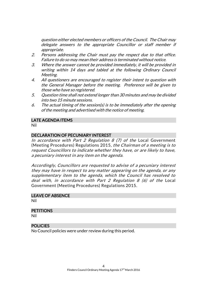question either elected members or officers of the Council. The Chair may delegate answers to the appropriate Councillor or staff member if appropriate.

- 2. Persons addressing the Chair must pay the respect due to that office. Failure to do so may mean their address is terminated without notice.
- 3. Where the answer cannot be provided immediately, it will be provided in writing within 14 days and tabled at the following Ordinary Council Meeting.
- 4. All questioners are encouraged to register their intent to question with the General Manager before the meeting. Preference will be given to those who have so registered.
- 5. Question time shall not extend longer than 30 minutes and may be divided into two 15 minute sessions.
- 6. The actual timing of the session(s) is to be immediately after the opening of the meeting and advertised with the notice of meeting.

### LATE AGENDA ITEMS

Nil

### DECLARATION OF PECUNIARY INTEREST

In accordance with Part 2 Regulation 8  $(7)$  of the Local Government (Meeting Procedures) Regulations 2015, the Chairman of a meeting is to request Councillors to indicate whether they have, or are likely to have, a pecuniary interest in any item on the agenda.

Accordingly, Councillors are requested to advise of a pecuniary interest they may have in respect to any matter appearing on the agenda, or any supplementary item to the agenda, which the Council has resolved to deal with, in accordance with Part 2 Regulation 8 (6) of the Local Government (Meeting Procedures) Regulations 2015.

#### LEAVE OF ABSENCE

Nil

#### **PETITIONS**

Nil

# POLICIES

No Council policies were under review during this period.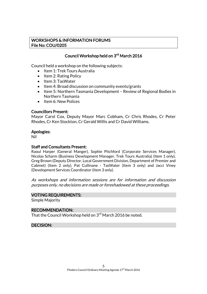# WORKSHOPS & INFORMATION FORUMS File No: COU/0205

# Council Workshop held on 3<sup>rd</sup> March 2016

Council held a workshop on the following subjects:

- Item 1: Trek Tours Australia
- $\bullet$  Item 2: Rating Policy
- Item 3: TasWater
- $\bullet$  Item 4: Broad discussion on community events/grants
- Item 5: Northern Tasmania Development Review of Regional Bodies in Northern Tasmania
- Item 6: New Polices

#### Councillors Present:

Mayor Carol Cox, Deputy Mayor Marc Cobham, Cr Chris Rhodes, Cr Peter Rhodes, Cr Ken Stockton, Cr Gerald Willis and Cr David Williams.

#### Apologies:

Nil

#### Staff and Consultants Present:

Raoul Harper (General Manger), Sophie Pitchford (Corporate Services Manager), Nicolas Scharm (Business Development Manager, Trek Tours Australia) (Item 1 only), Greg Brown (Deputy Director, Local Government Division, Department of Premier and Cabinet) (Item 2 only), Pat Cullinane - TasWater (Item 3 only) and Jacci Viney (Development Services Coordinator (Item 3 only).

As workshops and information sessions are for information and discussion purposes only, no decisions are made or foreshadowed at these proceedings.

#### VOTING REQUIREMENTS:

Simple Majority

#### RECOMMENDATION:

That the Council Workshop held on 3<sup>rd</sup> March 2016 be noted.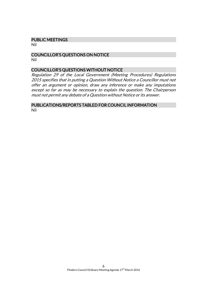#### PUBLIC MEETINGS

Nil

#### COUNCILLOR'S QUESTIONS ON NOTICE Nil

#### COUNCILLOR'S QUESTIONS WITHOUT NOTICE

Regulation 29 of the Local Government (Meeting Procedures) Regulations 2015 specifies that in putting a Question Without Notice a Councillor must not offer an argument or opinion, draw any inference or make any imputations except so far as may be necessary to explain the question. The Chairperson must not permit any debate of a Question without Notice or its answer.

#### PUBLICATIONS/REPORTS TABLED FOR COUNCIL INFORMATION Nil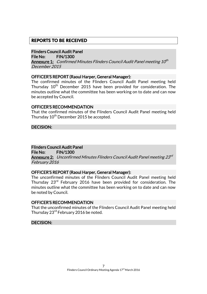# **REPORTS TO BE RECEIVED**

#### Flinders Council Audit Panel

File No: FIN/1300

**Annexure 1:** Confirmed Minutes Flinders Council Audit Panel meeting 10<sup>th</sup> December 2015

#### OFFICER'S REPORT (Raoul Harper, General Manager):

The confirmed minutes of the Flinders Council Audit Panel meeting held Thursday 10<sup>th</sup> December 2015 have been provided for consideration. The minutes outline what the committee has been working on to date and can now be accepted by Council.

#### OFFICER'S RECOMMENDATION

That the confirmed minutes of the Flinders Council Audit Panel meeting held Thursday 10<sup>th</sup> December 2015 be accepted.

DECISION:

# Flinders Council Audit Panel

File No: FIN/1300

**Annexure 2:** Unconfirmed Minutes Flinders Council Audit Panel meeting 23<sup>rd</sup> February 2016

#### OFFICER'S REPORT (Raoul Harper, General Manager):

The unconfirmed minutes of the Flinders Council Audit Panel meeting held Thursday 23rd February 2016 have been provided for consideration. The minutes outline what the committee has been working on to date and can now be noted by Council.

#### OFFICER'S RECOMMENDATION

That the unconfirmed minutes of the Flinders Council Audit Panel meeting held Thursday 23<sup>rd</sup> February 2016 be noted.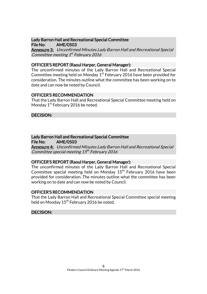#### Lady Barron Hall and Recreational Special Committee File No: AME/0503

Annexure 3: Unconfirmed Minutes Lady Barron Hall and Recreational Special Committee meeting 1<sup>st</sup> February 2016

# OFFICER'S REPORT (Raoul Harper, General Manager):

The unconfirmed minutes of the Lady Barron Hall and Recreational Special Committee meeting held on Monday  $1^\mathrm{st}$  February 2016 have been provided for consideration. The minutes outline what the committee has been working on to date and can now be noted by Council.

### OFFICER'S RECOMMENDATION

That the Lady Barron Hall and Recreational Special Committee meeting held on Monday 1<sup>st</sup> February 2016 be noted.

### DECISION:

#### Lady Barron Hall and Recreational Special Committee File No: AME/0503

Annexure 4: Unconfirmed Minutes Lady Barron Hall and Recreational Special Committee special meeting 15<sup>th</sup> February 2016

# OFFICER'S REPORT (Raoul Harper, General Manager):

The unconfirmed minutes of the Lady Barron Hall and Recreational Special Committee special meeting held on Monday  $15<sup>th</sup>$  February 2016 have been provided for consideration. The minutes outline what the committee has been working on to date and can now be noted by Council.

#### OFFICER'S RECOMMENDATION

That the Lady Barron Hall and Recreational Special Committee special meeting held on Monday 15<sup>th</sup> February 2016 be noted.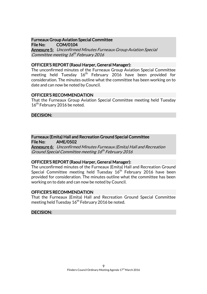# Furneaux Group Aviation Special Committee

File No: COM/0104 Annexure 5: Unconfirmed Minutes Furneaux Group Aviation Special Committee meeting 16<sup>th</sup> February 2016

#### OFFICER'S REPORT (Raoul Harper, General Manager):

The unconfirmed minutes of the Furneaux Group Aviation Special Committee meeting held Tuesday 16<sup>th</sup> February 2016 have been provided for consideration. The minutes outline what the committee has been working on to date and can now be noted by Council.

#### OFFICER'S RECOMMENDATION

That the Furneaux Group Aviation Special Committee meeting held Tuesday 16<sup>th</sup> February 2016 be noted.

### DECISION:

#### Furneaux (Emita) Hall and Recreation Ground Special Committee File No: AME/0502

Annexure 6: Unconfirmed Minutes Furneaux (Emita) Hall and Recreation Ground Special Committee meeting 16<sup>th</sup> February 2016

# OFFICER'S REPORT (Raoul Harper, General Manager):

The unconfirmed minutes of the Furneaux (Emita) Hall and Recreation Ground Special Committee meeting held Tuesday 16<sup>th</sup> February 2016 have been provided for consideration. The minutes outline what the committee has been working on to date and can now be noted by Council.

#### OFFICER'S RECOMMENDATION

That the Furneaux (Emita) Hall and Recreation Ground Special Committee meeting held Tuesday  $16^{th}$  February 2016 be noted.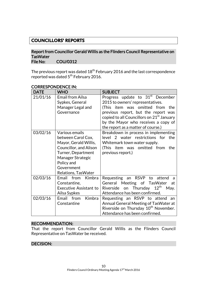# **COUNCILLORS' REPORTS**

#### Report from Councillor Gerald Willis as the Flinders Council Representative on **TasWater** File No: COU/0312

The previous report was dated  $18^{\mathsf{th}}$  February 2016 and the last correspondence reported was dated 5<sup>th</sup> February 2016.

| <b>DATE</b>          | <b>WHO</b>                                                                                                                                                                            | <b>SUBJECT</b>                                                                                                                                                                                                                                                                                   |
|----------------------|---------------------------------------------------------------------------------------------------------------------------------------------------------------------------------------|--------------------------------------------------------------------------------------------------------------------------------------------------------------------------------------------------------------------------------------------------------------------------------------------------|
| 21/01/16             | <b>Email from Ailsa</b><br>Sypkes, General<br>Manager Legal and<br>Governance                                                                                                         | Progress update to 31 <sup>st</sup> December<br>2015 to owners' representatives.<br>(This item was omitted from the<br>previous report, but the report was<br>copied to all Councillors on 21 <sup>st</sup> January<br>by the Mayor who receives a copy of<br>the report as a matter of course.) |
| 03/02/16             | Various emails<br>between Carol Cox,<br>Mayor, Gerald Willis,<br>Councillor, and Alison<br>Turner, Department<br>Manager Strategic<br>Policy and<br>Government<br>Relations, TasWater | Breakdown in process in implementing<br>level 2 water restrictions for<br>the<br>Whitemark town water supply.<br>(This item was omitted from the<br>previous report.)                                                                                                                            |
| 02/03/16<br>02/03/16 | Email<br>Kimbra<br>from<br>Constantine,<br><b>Executive Assistant to</b><br>Ailsa Sypkes<br><b>Kimbra</b><br>Email<br>from                                                            | Requesting an RSVP to<br>attend<br>a<br>General Meeting of TasWater<br>at<br>$12^{\text{th}}$<br>Thursday<br>Riverside<br>on<br>May.<br>Attendance has been confirmed.<br>Requesting an RSVP to attend<br>an                                                                                     |
|                      | Constantine                                                                                                                                                                           | Annual General Meeting of Tas Water at<br>Riverside on Thursday 10 <sup>th</sup> November.<br>Attendance has been confirmed.                                                                                                                                                                     |

### CORRESPONDENCE IN:

### RECOMMENDATION:

That the report from Councillor Gerald Willis as the Flinders Council Representative on TasWater be received.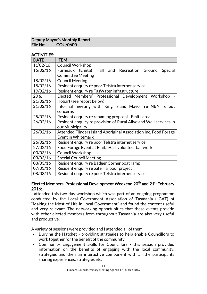# Deputy Mayor's Monthly Report File No: COU/0600

# ACTIVITIES:

| <b>DATE</b>   | <b>ITEM</b>                                                       |
|---------------|-------------------------------------------------------------------|
| $11^{/}02/16$ | <b>Council Workshop</b>                                           |
| 16/02/16      | Furneaux (Emita) Hall and Recreation Ground<br>Special            |
|               | <b>Committee Meeting</b>                                          |
| 18/02/16      | <b>Council Meeting</b>                                            |
| 18/02/16      | Resident enquiry re poor Telstra internet service                 |
| 19/02/16      | Resident enquiry re TasWater infrastructure                       |
| $20 \&$       | Elected Members' Professional Development Workshop                |
| 21/02/16      | Hobart (see report below)                                         |
| 21/02/16      | Informal meeting with King Island Mayor re NBN rollout            |
|               | concerns                                                          |
| 25/02/16      | Resident enquiry re renaming proposal - Emita area                |
| 26/02/16      | Resident enquiry re provision of Rural Alive and Well services in |
|               | our Municipality                                                  |
| 26/02/16      | Attended Flinders Island Aboriginal Association Inc. Food Forage  |
|               | Event in Whitemark                                                |
| 26/02/16      | Resident enquiry re poor Telstra internet service                 |
| 27/02/16      | Food Forage Event at Emita Hall, volunteer bar work               |
| 03/03/16      | <b>Council Workshop</b>                                           |
| 03/03/16      | <b>Special Council Meeting</b>                                    |
| 03/03/16      | Resident enquiry re Badger Corner boat ramp                       |
| 07/03/16      | Resident enquiry re Safe Harbour project                          |
| 08/03/16      | Resident enquiry re poor Telstra internet service                 |

### Elected Members' Professional Development Weekend 20<sup>th</sup> and 21<sup>st</sup> February 2016:

I attended this two day workshop which was part of an ongoing programme conducted by the Local Government Association of Tasmania (LGAT) of "Making the Most of Life in Local Government" and found the content useful and very relevant. The networking opportunities that these events provide with other elected members from throughout Tasmania are also very useful and productive.

A variety of sessions were provided and I attended all of them.

- Burying the Hatchet providing strategies to help enable Councillors to work together for the benefit of the community.
- Community Engagement Skills for Councillors this session provided information on the benefits of engaging with the local community, strategies and then an interactive component with all the participants sharing experiences, strategies etc.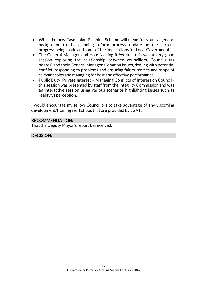- What the new Tasmanian Planning Scheme will mean for you a general background to the planning reform process, update on the current progress being made and some of the implications for Local Government.
- The General Manager and You: Making it Work this was a very good session exploring the relationship between councillors, Councils (as boards) and their General Manager. Common issues, dealing with potential conflict, responding to problems and ensuring fair outcomes and scope of relevant roles and managing for best and effective performance.
- Public Duty: Private Interest Managing Conflicts of Interest on Council this session was presented by staff from the Integrity Commission and was an interactive session using various scenarios highlighting issues such as reality vs perception.

I would encourage my fellow Councillors to take advantage of any upcoming development/training workshops that are provided by LGAT.

# RECOMMENDATION:

That the Deputy Mayor's report be received.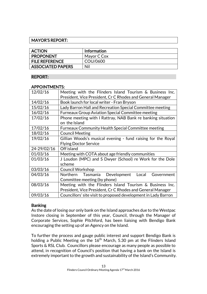# MAYOR'S REPORT:

| <b>ACTION</b>            | <b>Information</b> |
|--------------------------|--------------------|
| <b>PROPONENT</b>         | Mayor C Cox        |
| <b>FILE REFERENCE</b>    | COU/0600           |
| <b>ASSOCIATED PAPERS</b> | Nil                |

# REPORT:

#### APPOINTMENTS:

| 12/02/16    | Meeting with the Flinders Island Tourism & Business Inc.<br>President, Vice President, Cr C Rhodes and General Manager |  |
|-------------|------------------------------------------------------------------------------------------------------------------------|--|
| 14/02/16    | Book launch for local writer - Fran Bryson                                                                             |  |
| 15/02/16    | Lady Barron Hall and Recreation Special Committee meeting                                                              |  |
| 16/02/16    | <b>Furneaux Group Aviation Special Committee meeting</b>                                                               |  |
| 17/02/16    | Phone meeting with I Rattray, NAB Bank re banking situation                                                            |  |
|             | on the Island                                                                                                          |  |
| 17/02/16    | <b>Furneaux Community Health Special Committee meeting</b>                                                             |  |
| 18/02/16    | <b>Council Meeting</b>                                                                                                 |  |
| 19/02/16    | Gillian Woods's musical evening - fund raising for the Royal                                                           |  |
|             | <b>Flying Doctor Service</b>                                                                                           |  |
| 24-29/02/16 | Off island                                                                                                             |  |
| 01/03/16    | Meeting with COTA about age friendly communities                                                                       |  |
| 01/03/16    | J Loudon (MPC) and S Dwyer (School) re Work for the Dole                                                               |  |
|             | scheme                                                                                                                 |  |
| 03/03/16    | <b>Council Workshop</b>                                                                                                |  |
| 04/03/16    | Tasmania Development<br>Northern<br>Local<br>Government                                                                |  |
|             | Committee meeting (by phone)                                                                                           |  |
| 08/03/16    | Meeting with the Flinders Island Tourism & Business Inc.                                                               |  |
|             | President, Vice President, Cr C Rhodes and General Manager                                                             |  |
| 09/03/16    | Councillors' site visit to proposed development in Lady Barron                                                         |  |

# **Banking**

As the date of losing our only bank on the Island approaches due to the Westpac Instore closing in September of this year, Council, through the Manager of Corporate Services, Sophie Pitchford, has been liaising with Bendigo Bank encouraging the setting up of an Agency on the Island.

To further the process and gauge public interest and support Bendigo Bank is holding a Public Meeting on the 16<sup>th</sup> March, 5.30 pm at the Flinders Island Sports & RSL Club. Councillors please encourage as many people as possible to attend, in recognition of Council's position that having a bank on the Island is extremely important to the growth and sustainability of the Island's Community.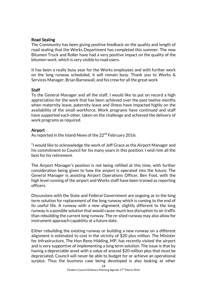# Road Sealing

The Community has been giving positive feedback on the quality and length of road sealing that the Works Department has completed this summer. The new Bitumen Truck and Roller have had a very positive impact on the quality of the bitumen work, which is very visible to road users.

It has been a really busy year for the Works employees and with further work on the long runway scheduled, it will remain busy. Thank you to Works & Services Manager, Brian Barnewall, and his crew for all the great work.

#### **Staff**

To the General Manager and all the staff, I would like to put on record a high appreciation for the work that has been achieved over the past twelve months when maternity leave, paternity leave and illness have impacted highly on the availability of the small workforce. Work programs have continued and staff have supported each other, taken on the challenge and achieved the delivery of work programs as required.

### Airport

As reported in the Island News of the 22<sup>nd</sup> February 2016:

"I would like to acknowledge the work of Jeff Grace as the Airport Manager and his commitment to Council for his many years in this position. I wish him all the best for his retirement.

The Airport Manager's position is not being refilled at this time, with further consideration being given to how the airport is operated into the future. The General Manager is assisting Airport Operations Officer, Ben Foot, with the high level running of the airport and Works staff have been trained as reporting officers.

Discussions with the State and Federal Government are ongoing as to the long term solution for replacement of the long runway which is coming to the end of its useful life. A runway with a new alignment, slightly different to the long runway is a possible solution that would cause much less disruption to air traffic than rebuilding the current long runway. The re-sited runway may also allow for instrument approach capability at a future date.

Either rebuilding the existing runway or building a new runway on a different alignment is estimated to cost in the vicinity of \$20 plus million. The Minister for Infrastructure, The Hon Rene Hidding, MP, has recently visited the airport and is very supportive of implementing a long term solution. The issue is that by having a depreciable asset with a value of around \$20 million plus that must be depreciated, Council will never be able to budget for or achieve an operational surplus. Thus the business case being developed is also looking at other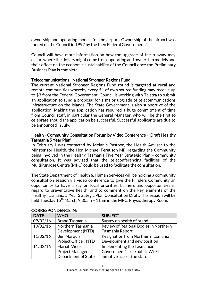ownership and operating models for the airport. Ownership of the airport was forced on the Council in 1992 by the then Federal Government."

Council will have more information on how the upgrade of the runway may occur, where the dollars might come from, operating and ownership models and their effect on the economic sustainability of the Council once the Preliminary Business Plan is complete.

# Telecommunications - National Stronger Regions Fund

The current National Stronger Regions Fund round is targeted at rural and remote communities whereby every \$1 of own source funding may receive up to \$3 from the Federal Government. Council is working with Telstra to submit an application to fund a proposal for a major upgrade of telecommunications infrastructure on the Islands. The State Government is also supportive of the application. Making the application has required a huge commitment of time from Council staff, in particular the General Manager, who will be the first to celebrate should the application be successful. Successful applicants are due to be announced in July.

### Health - Community Consultation Forum by Video Conference - 'Draft Healthy Tasmania 5 Year Plan'

In February I was contacted by Melanie Pastoor, the Health Adviser to the Minster for Health, the Hon Michael Ferguson MP, regarding the Community being involved in the Healthy Tasmania Five Year Strategic Plan – community consultation. It was advised that the teleconferencing facilities of the MultiPurpose Centre (MPC) could be used to facilitate the consultation.

The State Department of Health & Human Services will be holding a community consultation session via video conference to give the Flinders Community an opportunity to have a say on local priorities, barriers and opportunities in regard to preventative health, and to comment on the key elements of the Healthy Tasmania 5 Year Strategic Plan Consultation Draft. This session will be held Tuesday  $15<sup>th</sup>$  March, 9:30am – 11am in the MPC, Physiotherapy Room.

| <b>DATE</b> | <b>WHO</b>            | <b>SUBJECT</b>                        |
|-------------|-----------------------|---------------------------------------|
| 09/02/16    | <b>Brand Tasmania</b> | Survey on health of brand             |
| 10/02/16    | Northern Tasmania     | Review of Regional Bodies in Northern |
|             | Development (NTD)     | Tasmania Report                       |
| 11/02/16    | <b>Ben Marquis</b>    | Resignation from Northern Tasmania    |
|             | Project Officer, NTD  | Development and new position          |
| 11/02/16    | Mariah Viecieli,      | Implementing the Tasmanian            |
|             | Project Manager,      | Government's free public Wi-Fi        |
|             | Department of State   | initiative across the state           |

# CORRESPONDENCE IN: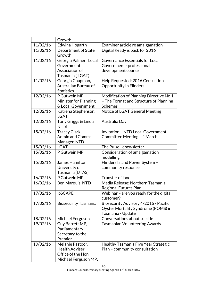|          | Growth                             |                                            |
|----------|------------------------------------|--------------------------------------------|
| 11/02/16 | Edwina Hogarth                     | Examiner article re amalgamation           |
| 11/02/16 | Department of State<br>Growth      | Digital Ready is back for 2016             |
| 11/02/16 | Georgia Palmer, Local              | Governance Essentials for Local            |
|          | Government                         | Government - professional                  |
|          | Association of                     | development course                         |
|          | Tasmania (LGAT)                    |                                            |
| 11/02/16 | Georgia Chapman,                   | Help Requested: 2016 Census Job            |
|          | Australian Bureau of               | <b>Opportunity in Flinders</b>             |
|          | <b>Statistics</b>                  |                                            |
| 12/02/16 | P Gutwein MP,                      | Modification of Planning Directive No 1    |
|          | Minister for Planning              | - The Format and Structure of Planning     |
|          | & Local Government                 | <b>Schemes</b>                             |
| 12/02/16 | Katrena Stephenson,<br><b>LGAT</b> | Notice of LGAT General Meeting             |
| 12/02/16 | Tony Griggs & Linda                | Australia Day                              |
|          | <b>Nicol</b>                       |                                            |
| 15/02/16 | Tracey Clark,                      | <b>Invitation - NTD Local Government</b>   |
|          | <b>Admin and Comms</b>             | Committee Meeting - 4 March                |
|          | Manager, NTD                       |                                            |
| 15/02/16 | <b>LGAT</b>                        | The Pulse - enewsletter                    |
| 15/02/16 | P Gutwein MP                       | Consideration of amalgamation<br>modelling |
| 15/02/16 | James Hamilton,                    | Flinders Island Power System -             |
|          | University of                      | community response                         |
|          | Tasmania (UTAS)                    |                                            |
| 16/02/16 | P Gutwein MP                       | <b>Transfer of land</b>                    |
| 16/02/16 | Ben Marquis, NTD                   | Media Release: Northern Tasmania           |
|          |                                    | Regional Futures Plan                      |
| 17/02/16 | ipSCAPE                            | Webinar - are you ready for the digital    |
|          |                                    | customer?                                  |
| 17/02/16 | <b>Biosecurity Tasmania</b>        | Biosecurity Advisory 4/2016 - Pacific      |
|          |                                    | Oyster Mortality Syndrome (POMS) in        |
|          |                                    | Tasmania - Update                          |
| 18/02/16 | Michael Ferguson                   | Conversations about suicide                |
| 19/02/16 | Guy Barrett MP,                    | <b>Tasmanian Volunteering Awards</b>       |
|          | Parliamentary                      |                                            |
|          | Secretary to the                   |                                            |
|          | Premier                            |                                            |
| 19/02/16 | Melanie Pastoor,                   | Healthy Tasmania Five Year Strategic       |
|          | Health Adviser,                    | Plan - community consultation              |
|          | Office of the Hon                  |                                            |
|          | Michael Ferguson MP,               |                                            |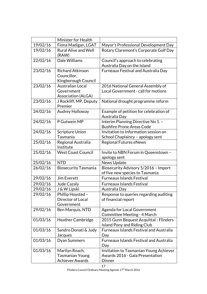|          | Minister for Health                                           |                                                                              |
|----------|---------------------------------------------------------------|------------------------------------------------------------------------------|
| 19/02/16 | Fiona Madigan, LGAT                                           | Mayor's Professional Development Day                                         |
| 19/02/16 | <b>Rural Alive and Well</b><br>(RAW)                          | Rotary Claremont's Corporate Golf Day                                        |
| 22/02/16 | Dale Williams                                                 | Council's approach to celebrating<br>Australia Day on the Island             |
| 23/02/16 | <b>Richard Atkinson</b><br>Councillor,<br>Kingborough Council | Furneaux Festival and Australia Day                                          |
| 23/02/16 | Australian Local<br>Government<br><b>Association (ALGA)</b>   | 2016 National General Assembly of<br>Local Government - call for motions     |
| 23/02/16 | J Rockliff, MP, Deputy<br>Premier                             | National drought programme reform                                            |
| 24/02/16 | Audrey Holloway                                               | Example of petition for celebration of<br>Australia Day                      |
| 24/02/16 | P Gutwein MP                                                  | Interim Planning Directive No 1. -<br><b>Bushfire Prone Areas Code</b>       |
| 24/02/16 | <b>Scripture Union</b><br>Tasmania                            | Invitation to Information session on<br>School Chaplaincy - apology sent     |
| 25/02/16 | Regional Australia<br>Institute                               | <b>Regional Futures eNews</b>                                                |
| 25/02/16 | <b>West Coast Council</b>                                     | Invite to NBN Forum in Queenstown -<br>apology sent                          |
|          |                                                               |                                                                              |
| 25/02/16 | <b>NTD</b>                                                    | News Update                                                                  |
| 26/02/16 | <b>Biosecurity Tasmania</b>                                   | Biosecurity Advisory 5/2016 - Import<br>of five new species to Tasmania      |
| 29/02/16 | Jim Everett                                                   | <b>Furneaux Islands Festival</b>                                             |
| 29/02/16 | Jude Cazaly                                                   | <b>Furneaux Islands Festival</b>                                             |
| 29/02/16 | J & W Lipski                                                  | Australia Day                                                                |
| 29/02/16 | Phillip Hoysted -<br>Director of Local<br>Government          | Response to queries regarding auditing<br>of financial report                |
| 29/02/16 | Ben Marquis, NTD                                              | Agenda for Local Government<br>Committee Meeting - 4 March                   |
| 01/03/16 | <b>Heather Cambridge</b>                                      | 2015 Gunn Bequest Acquittal - Flinders<br><b>Island Pony and Riding Club</b> |
| 01/03/16 | Sandro Donati & Judy<br>Jacques                               | <b>Furneaux Islands Festival and Australia</b><br>Day                        |
| 01/03/16 | Dyan Summers                                                  | <b>Furneaux Islands Festival and Australia</b><br>Day                        |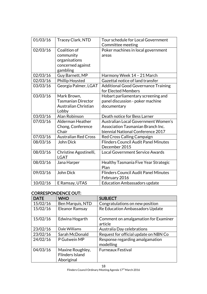| 01/03/16 | Tracey Clark, NTD           | Tour schedule for Local Government          |
|----------|-----------------------------|---------------------------------------------|
|          |                             | Committee meeting                           |
| 02/03/16 | Coalition of                | Poker machines in local government          |
|          | community                   | areas                                       |
|          | organisations               |                                             |
|          | concerned against           |                                             |
|          | gambling                    |                                             |
| 02/03/16 | Guy Barnett, MP             | Harmony Week 14 - 21 March                  |
| 02/03/16 | Phillip Hoysted             | Gazettal notice of land transfer            |
| 03/03/16 | Georgia Palmer, LGAT        | <b>Additional Good Governance Training</b>  |
|          |                             | for Elected Members                         |
| 03/03/16 | Mark Brown,                 | Hobart parliamentary screening and          |
|          | <b>Tasmanian Director</b>   | panel discussion - poker machine            |
|          | Australian Christian        | documentary                                 |
|          | Lobby                       |                                             |
| 03/03/16 | Alan Robinson               | Death notice for Bess Larner                |
| 07/03/16 | Alderman Heather            | <b>Australian Local Government Women's</b>  |
|          | Chong, Conference           | Association Tasmanian Branch Inc.           |
|          | Chair                       | biennial National Conference 2017           |
| 07/03/16 | <b>Australian Red Cross</b> | Red Cross Calling Campaign                  |
| 08/03/16 | John Dick                   | <b>Flinders Council Audit Panel Minutes</b> |
|          |                             | December 2015                               |
| 08/03/16 | Christine Agostinelli,      | <b>Local Government Service Awards</b>      |
|          | <b>LGAT</b>                 |                                             |
| 08/03/16 | Jana Harper                 | Healthy Tasmania Five Year Strategic        |
|          |                             | Plan                                        |
| 09/03/16 | John Dick                   | <b>Flinders Council Audit Panel Minutes</b> |
|          |                             | February 2016                               |
| 10/02/16 | E Ramsay, UTAS              | <b>Education Ambassadors update</b>         |

# CORRESPONDENCE OUT:

| <b>DATE</b> | <b>WHO</b>                                               | <b>SUBJECT</b>                                  |
|-------------|----------------------------------------------------------|-------------------------------------------------|
| 15/02/16    | Ben Marquis, NTD                                         | Congratulations on new position                 |
| 15/02/16    | <b>Eleanor Ramsay</b>                                    | Re Education Ambassadors Update                 |
| 15/02/16    | Edwina Hogarth                                           | Comment on amalgamation for Examiner<br>article |
| 23/02/16    | Dale Williams                                            | Australia Day celebrations                      |
| 23/02/16    | Sarah McDonald                                           | Request for official update on NBN Co           |
| 24/02/16    | P Gutwein MP                                             | Response regarding amalgamation<br>modelling    |
| 04/03/16    | Maxine Roughley,<br><b>Flinders Island</b><br>Aboriginal | <b>Furneaux Festival</b>                        |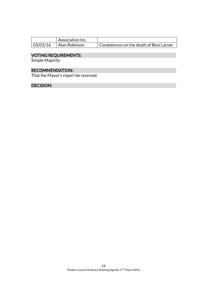|          | Association Inc. |                                         |
|----------|------------------|-----------------------------------------|
| 03/03/16 | Alan Robinson    | Condolences on the death of Bess Larner |

#### VOTING REQUIREMENTS:

Simple Majority

# RECOMMENDATION:

That the Mayor's report be received.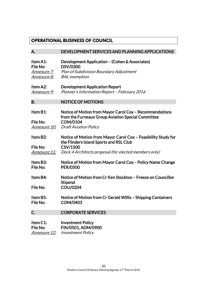# **OPERATIONAL BUSINESS OF COUNCIL**

| А.                                                                | DEVELOPMENT SERVICES AND PLANNING APPLICATIONS                                                                                                                                       |
|-------------------------------------------------------------------|--------------------------------------------------------------------------------------------------------------------------------------------------------------------------------------|
| Item A1:<br>File No:<br><u>Annexure 7:</u><br><u> Annexure 8:</u> | Development Application - (Cohen & Associates)<br><b>DSV/0300</b><br>Plan of Subdivision Boundary Adjustment<br><b>BAL</b> exemption                                                 |
| Item A2:<br>Annexure 9:                                           | <b>Development Application Report</b><br>Planner's Information Report - February 2016                                                                                                |
| <b>B.</b>                                                         | <b>NOTICE OF MOTIONS</b>                                                                                                                                                             |
| Item B1:<br>File No:<br><u>Annexure 10:</u>                       | Notice of Motion from Mayor Carol Cox - Recommendations<br>from the Furneaux Group Aviation Special Committee<br><b>COM/0104</b><br><b>Draft Aviation Policy</b>                     |
| Item B2:<br>File No:<br><u>Annexure 11:</u>                       | Notice of Motion from Mayor Carol Cox - Feasibility Study for<br>the Flinders Island Sports and RSL Club<br><b>CSV/1500</b><br>Dock 4 Architects proposal (for elected members only) |
| Item B3:<br>File No:                                              | Notice of Motion from Mayor Carol Cox – Policy Name Change<br><b>PER/0500</b>                                                                                                        |
| Item B4:<br>File No:                                              | Notice of Motion from Cr Ken Stockton - Freeze on Councillor<br><b>Stipend</b><br><b>COU/0204</b>                                                                                    |
| Item B5:<br>File No:                                              | Notice of Motion from Cr Gerald Willis - Shipping Containers<br><b>COM/0403</b>                                                                                                      |
| C.                                                                | <b>CORPORATE SERVICES</b>                                                                                                                                                            |
| Item C1:<br>File No:<br><u>Annexure 12:</u>                       | <b>Investment Policy</b><br>FIN/0501, ADM/0900<br><b>Investment Policy</b>                                                                                                           |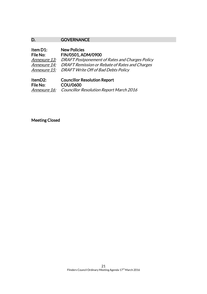# D. **GOVERNANCE**

| Item D1:            | <b>New Policies</b>                            |
|---------------------|------------------------------------------------|
| File No:            | FIN/0501, ADM/0900                             |
| Annexure 13:        | DRAFT Postponement of Rates and Charges Policy |
| Annexure 14:        | DRAFT Remission or Rebate of Rates and Charges |
| <i>Annexure 15:</i> | DRAFT Write Off of Bad Debts Policy            |
|                     |                                                |
| ltemD2.             | Councillor Resolution Report                   |

| ItemD2:  | <b>Councillor Resolution Report</b>                         |
|----------|-------------------------------------------------------------|
| File No: | COU/0600                                                    |
|          | <b>Annexure 16:</b> Councillor Resolution Report March 2016 |

Meeting Closed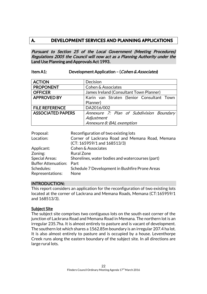# **A. DEVELOPMENT SERVICES AND PLANNING APPLICATIONS**

Pursuant to Section 25 of the Local Government (Meeting Procedures) Regulations 2005 the Council will now act as a Planning Authority under the Land Use Planning and Approvals Act 1993.

# Item A1: Development Application – (Cohen & Associates)

| <b>ACTION</b>            | Decision                                  |  |
|--------------------------|-------------------------------------------|--|
| <b>PROPONENT</b>         | Cohen & Associates                        |  |
| <b>OFFICER</b>           | James Ireland (Consultant Town Planner)   |  |
| <b>APPROVED BY</b>       | Karin van Straten (Senior Consultant Town |  |
|                          | Planner)                                  |  |
| <b>FILE REFERENCE</b>    | DA2016/002                                |  |
| <b>ASSOCIATED PAPERS</b> | Annexure 7: Plan of Subdivision Boundary  |  |
|                          | Adjustment                                |  |
|                          | Annexure 8: BAL exemption                 |  |

| Proposal:                  | Reconfiguration of two existing lots             |
|----------------------------|--------------------------------------------------|
| Location:                  | Corner of Lackrana Road and Memana Road, Memana  |
|                            | $(CT: 165959/1$ and $168513/3$                   |
| Applicant:                 | <b>Cohen &amp; Associates</b>                    |
| Zoning:                    | <b>Rural Zone</b>                                |
| <b>Special Areas:</b>      | Shorelines, water bodies and watercourses (part) |
| <b>Buffer Attenuation:</b> | Part                                             |
| Schedules:                 | Schedule 7 Development in Bushfire Prone Areas   |
| Representations:           | None                                             |

# INTRODUCTION:

This report considers an application for the reconfiguration of two existing lots located at the corner of Lackrana and Memana Roads, Memana (CT:165959/1 and 168513/3).

#### Subject Site

The subject site comprises two contiguous lots on the south east corner of the junction of Lackrana Road and Memana Road in Memana. The northern lot is an irregular 235.7ha. It is almost entirely to pasture and is vacant of development. The southern lot which shares a 1562.85m boundary is an irregular 207.4 ha lot. It is also almost entirely to pasture and is occupied by a house. Leventhorpe Creek runs along the eastern boundary of the subject site. In all directions are large rural lots.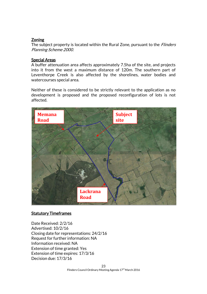# **Zoning**

The subject property is located within the Rural Zone, pursuant to the *Flinders* Planning Scheme 2000.

# Special Areas

A buffer attenuation area affects approximately 7.5ha of the site, and projects into it from the west a maximum distance of 120m. The southern part of Leventhorpe Creek is also affected by the shorelines, water bodies and watercourses special area.

Neither of these is considered to be strictly relevant to the application as no development is proposed and the proposed reconfiguration of lots is not affected.



# **Statutory Timeframes**

Date Received: 2/2/16 Advertised: 10/2/16 Closing date for representations: 24/2/16 Request for further information: NA Information received: NA Extension of time granted: Yes Extension of time expires: 17/3/16 Decision due: 17/3/16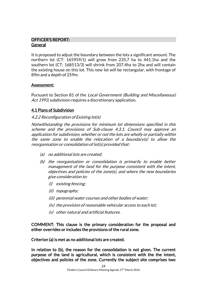# OFFICER'S REPORT: General

It is proposed to adjust the boundary between the lots a significant amount. The northern lot (CT: 165959/1) will grow from 235.7 ha to 441.1ha and the southern lot (CT: 168513/3) will shrink from 207.4ha to 2ha and will contain the existing house on this lot. This new lot will be rectangular, with frontage of 89m and a depth of 259m.

# Assessment:

Pursuant to Section 81 of the Local Government (Building and Miscellaneous) Act 1993, subdivision requires a discretionary application.

# 4.1 Plans of Subdivision

# 4.2.2 Reconfiguration of Existing lot(s)

Notwithstanding the provisions for minimum lot dimensions specified in this scheme and the provisions of Sub-clause 4.3.1, Council may approve an application for subdivision, whether or not the lots are wholly or partially within the same zone to enable the relocation of a boundary(s) to allow the reorganisation or consolidation of lot(s) provided that:

- (a) no additional lots are created;
- (b) the reorganisation or consolidation is primarily to enable better management of the land for the purpose consistent with the intent, objectives and policies of the zone(s), and where the new boundaries give consideration to:
	- (i) existing fencing;
	- (ii) topography;
	- (iii) perennial water courses and other bodies of water;
	- (iv) the provision of reasonable vehicular access to each lot;
	- (v) other natural and artificial features.

COMMENT: This clause is the primary consideration for the proposal and either overrides or includes the provisions of the rural zone.

Criterion (a) is met as no additional lots are created.

In relation to (b), the reason for the consolidation is not given. The current purpose of the land is agricultural, which is consistent with the the intent, objectives and policies of the zone. Currently the subject site comprises two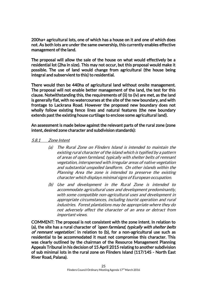200ha+ agricultural lots, one of which has a house on it and one of which does not. As both lots are under the same ownership, this currently enables effective management of the land.

The proposal will allow the sale of the house on what would effectively be a residential lot (2ha in size). This may not occur, but this proposal would make it possible. The use of land would change from agricultural (the house being integral and subservient to this) to residential.

There would then be 440ha of agricultural land without onsite management. The proposal will not enable better management of the land, the test for this clause. Notwithstanding this, the requirements of (ii) to (iv) are met, as the land is generally flat, with no watercourses at the site of the new boundary, and with frontage to Lackrana Road. However the proposed new boundary does not wholly follow existing fence lines and natural features (the new boundary extends past the existing house curtilage to enclose some agricultural land).

An assessment is made below against the relevant parts of the rural zone (zone intent, desired zone character and subdivision standards):

### 5.8.1 Zone Intent

- (a) The Rural Zone on Flinders Island is intended to maintain the existing rural character of the island which is typified by a pattern of areas of open farmland, typically with shelter belts of remnant vegetation, interspersed with irregular areas of native vegetation and substantial unspoiled landform. On other islands within the Planning Area the zone is intended to preserve the existing character which displays minimal signs of European occupation.
- (b) Use and development in the Rural Zone is intended to accommodate agricultural uses and development predominantly, with some compatible non-agricultural uses and development in appropriate circumstances, including tourist operation and rural industries. Forest plantations may be appropriate where they do not adversely affect the character of an area or detract from important views.

COMMENT: The proposal is not consistent with the zone intent. In relation to (a), the site has a rural character of 'open farmland, typically with shelter belts of remnant vegetation'. In relation to (b), for a non-agricultural use such as residential to be accommodated it must not compromise this character. This was clearly outlined by the chairman of the Resource Management Planning Appeals Tribunal in his decision of 15 April 2015 relating to another subdivision of sub minimal lots in the rural zone on Flinders Island (117/14S - North East River Road, Palana).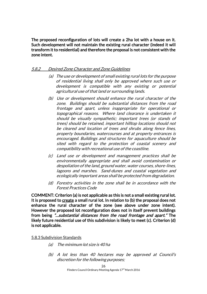The proposed reconfiguration of lots will create a 2ha lot with a house on it. Such development will not maintain the existing rural character (indeed it will transform it to residential) and therefore the proposal is not consistent with the zone intent.

### 5.8.2 Desired Zone Character and Zone Guidelines

- (a) The use or development of small existing rural lots for the purpose of residential living shall only be approved where such use or development is compatible with any existing or potential agricultural use of that land or surrounding lands.
- (b) Use or development should enhance the rural character of the zone. Buildings should be substantial distances from the road frontage and apart, unless inappropriate for operational or topographical reasons. Where land clearance is undertaken it should be visually sympathetic; important trees (or stands of trees) should be retained, important hilltop locations should not be cleared and location of trees and shrubs along fence lines, property boundaries, watercourses and at property entrances is encouraged. Buildings and structures for aquaculture should be sited with regard to the protection of coastal scenery and compatibility with recreational use of the coastline.
- (c) Land use or development and management practices shall be environmentally appropriate and shall avoid contamination or despoliation of the land, ground water, water courses, shore-lines, lagoons and marshes. Sand-dunes and coastal vegetation and ecologically important areas shall be protected from degradation.
- (d) Forestry activities in the zone shall be in accordance with the Forest Practices Code

COMMENT: Criterion (a) is not applicable as this is not a small existing rural lot. It is proposed to create a small rural lot. In relation to (b) the proposal does not enhance the rural character of the zone (see above under zone intent). However the proposed lot reconfiguration does not in itself prevent buildings from being "…substantial distances from the road frontage and apart." The likely future residential use of this subdivision is likely to meet (c). Criterion (d) is not applicable.

#### 5.8.3 Subdivision Standards

- (a) The minimum lot size is 40 ha
- (b) A lot less than 40 hectares may be approved at Council's discretion for the following purposes;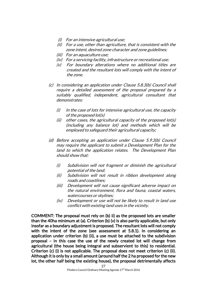- (i) For an intensive agricultural use;
- (ii) For a use, other than agriculture, that is consistent with the zone intent, desired zone character and zone guidelines;
- (iii) For an aquaculture use;
- (iv) For a servicing facility, infrastructure or recreational use;
- (v) For boundary alterations where no additional titles are created and the resultant lots will comply with the intent of the zone.
- (c) In considering an application under Clause 5.8.3(b) Council shall require a detailed assessment of the proposal prepared by a suitably qualified, independent, agricultural consultant that demonstrates:
	- $(i)$  In the case of lots for intensive agricultural use, the capacity of the proposed lot(s)
	- (ii) other cases, the agricultural capacity of the proposed lot(s) (including any balance lot) and methods which will be employed to safeguard their agricultural capacity;
- (d) Before accepting an application under Clause 5.9.3(b) Council may require the applicant to submit a Development Plan for the land to which the application relates. The Development Plan should show that:
	- (i) Subdivision will not fragment or diminish the agricultural potential of the land;
	- (ii) Subdivision will not result in ribbon development along roads and coastlines;
	- (iii) Development will not cause significant adverse impact on the natural environment, flora and fauna, coastal waters, watercourses or skylines;
	- (iv) Development or use will not be likely to result in land use conflict with existing land uses in the vicinity.

COMMENT: The proposal must rely on (b) ii) as the proposed lots are smaller than the 40ha minimum at (a). Criterion (b) (v) is also partly applicable, but only insofar as a boundary adjustment is proposed. The resultant lots will not comply with the intent of the zone (see assessment at 5.8.1). In considering an application under criterion (b) (ii), a use must be attached to the subdivision proposal – in this case the use of the newly created lot will change from agricultural (the house being integral and subservient to this) to residential. Criterion (c) (i) is not applicable. The proposal does not meet criterion (c) (ii). Although it is only by a small amount (around half the 2 ha proposed for the new lot, the other half being the existing house), the proposal detrimentally affects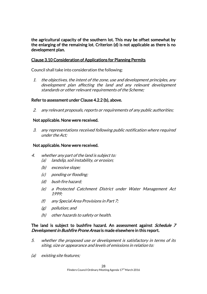the agricultural capacity of the southern lot. This may be offset somewhat by the enlarging of the remaining lot. Criterion (d) is not applicable as there is no development plan.

# Clause 3.10 Consideration of Applications for Planning Permits

Council shall take into consideration the following:

1. the objectives, the intent of the zone, use and development principles, any development plan affecting the land and any relevant development standards or other relevant requirements of the Scheme;

# Refer to assessment under Clause 4.2.2 (b), above.

2. any relevant proposals, reports or requirements of any public authorities;

### Not applicable. None were received.

3. any representations received following public notification where required under the Act;

### Not applicable. None were received.

- 4. whether any part of the land is subject to: (a) landslip, soil instability, or erosion;
	- (b) excessive slope;
	- (c) ponding or flooding;
	- (d) bush fire hazard;
	- (e) a Protected Catchment District under Water Management Act 1999;
	- (f) any Special Area Provisions in Part 7;
	- (g) pollution; and
	- (h) other hazards to safety or health.

### The land is subject to bushfire hazard. An assessment against *Schedule 7* Development in Bushfire Prone Areas is made elsewhere in this report.

- 5. whether the proposed use or development is satisfactory in terms of its siting, size or appearance and levels of emissions in relation to:
- (a) existing site features;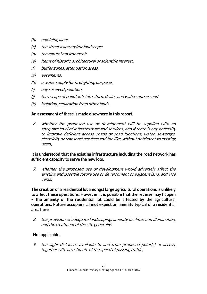- (b) adjoining land;
- (c) the streetscape and/or landscape;
- (d) the natural environment;
- (e) items of historic, architectural or scientific interest;
- (f) buffer zones, attenuation areas,
- (g) easements;
- (h) a water supply for firefighting purposes;
- (i) any received pollution;
- (j) the escape of pollutants into storm drains and watercourses: and
- (k) isolation, separation from other lands.

# An assessment of these is made elsewhere in this report.

6. whether the proposed use or development will be supplied with an adequate level of infrastructure and services, and if there is any necessity to improve deficient access, roads or road junctions, water, sewerage, electricity or transport services and the like, without detriment to existing users;

# It is understood that the existing infrastructure including the road network has sufficient capacity to serve the new lots.

7. whether the proposed use or development would adversely affect the existing and possible future use or development of adjacent land, and vice versa;

The creation of a residential lot amongst large agricultural operations is unlikely to affect these operations. However, it is possible that the reverse may happen – the amenity of the residential lot could be affected by the agricultural operations. Future occupiers cannot expect an amenity typical of a residential area here.

8. the provision of adequate landscaping, amenity facilities and illumination, and the treatment of the site generally;

# Not applicable.

9. the sight distances available to and from proposed point(s) of access, together with an estimate of the speed of passing traffic;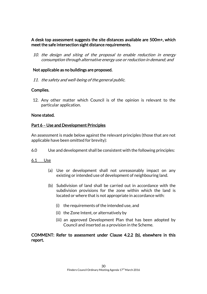# A desk top assessment suggests the site distances available are 500m+, which meet the safe intersection sight distance requirements.

10. the design and siting of the proposal to enable reduction in energy consumption through alternative energy use or reduction in demand; and

# Not applicable as no buildings are proposed.

11. the safety and well-being of the general public.

# Complies.

12. Any other matter which Council is of the opinion is relevant to the particular application.

#### None stated.

### Part 6 – Use and Development Principles

An assessment is made below against the relevant principles (those that are not applicable have been omitted for brevity):

6.0 Use and development shall be consistent with the following principles:

#### 6.1 Use

- (a) Use or development shall not unreasonably impact on any existing or intended use of development of neighbouring land.
- (b) Subdivision of land shall be carried out in accordance with the subdivision provisions for the zone within which the land is located or where that is not appropriate in accordance with:
	- (i) the requirements of the intended use, and
	- (ii) the Zone Intent, or alternatively by
	- (iii) an approved Development Plan that has been adopted by Council and inserted as a provision in the Scheme.

### COMMENT: Refer to assessment under Clause 4.2.2 (b), elsewhere in this report.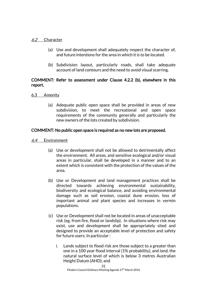### 6.2 Character

- (a) Use and development shall adequately respect the character of, and future intentions for the area in which it is to be located.
- (b) Subdivision layout, particularly roads, shall take adequate account of land contours and the need to avoid visual scarring.

# COMMENT: Refer to assessment under Clause 4.2.2 (b), elsewhere in this report.

- 6.3 Amenity
	- (a) Adequate public open space shall be provided in areas of new subdivision, to meet the recreational and open space requirements of the community generally and particularly the new owners of the lots created by subdivision.

### COMMENT: No public open space is required as no new lots are proposed.

- 6.4 Environment
	- (a) Use or development shall not be allowed to detrimentally affect the environment. All areas, and sensitive ecological and/or visual areas in particular, shall be developed in a manner and to an extent which is consistent with the protection of the values of the area.
	- (b) Use or Development and land management practices shall be directed towards achieving environmental sustainability, biodiversity and ecological balance, and avoiding environmental damage such as soil erosion, coastal dune erosion, loss of important animal and plant species and increases in vermin populations.
	- (c) Use or Development shall not be located in areas of unacceptable risk (eg. from fire, flood or landslip). In situations where risk may exist, use and development shall be appropriately sited and designed to provide an acceptable level of protection and safety for future users. In particular :
		- i. Lands subject to flood risk are those subject to a greater than one in a 100 year flood interval (1% probability), and land, the natural surface level of which is below 3 metres Australian Height Datum (AHD); and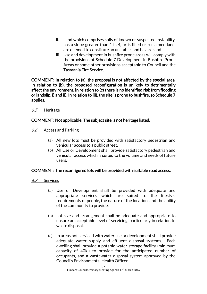- ii. Land which comprises soils of known or suspected instability, has a slope greater than 1 in 4, or is filled or reclaimed land, are deemed to constitute an unstable land hazard; and
- iii. Use and development in bushfire prone areas will comply with the provisions of Schedule 7 Development in Bushfire Prone Areas or some other provisions acceptable to Council and the Tasmania Fire Service.

COMMENT: In relation to (a), the proposal is not affected by the special area. In relation to (b), the proposed reconfiguration is unlikely to detrimentally affect the environment. In relation to (c) there is no identified risk from flooding or landslip, i) and ii). In relation to iii), the site is prone to bushfire, so Schedule 7 applies.

### 6.5 Heritage

# COMMENT: Not applicable. The subject site is not heritage listed.

- 6.6 Access and Parking
	- (a) All new lots must be provided with satisfactory pedestrian and vehicular access to a public street.
	- (b) All Use or Development shall provide satisfactory pedestrian and vehicular access which is suited to the volume and needs of future users.

# COMMENT: The reconfigured lots will be provided with suitable road access.

- 6.7 Services
	- (a) Use or Development shall be provided with adequate and appropriate services which are suited to the lifestyle requirements of people, the nature of the location, and the ability of the community to provide.
	- (b) Lot size and arrangement shall be adequate and appropriate to ensure an acceptable level of servicing, particularly in relation to waste disposal.
	- (c) In areas not serviced with water use or development shall provide adequate water supply and effluent disposal systems. Each dwelling shall provide a potable water storage facility (minimum capacity of 40kl) to provide for the anticipated number of occupants, and a wastewater disposal system approved by the Council's Environmental Health Officer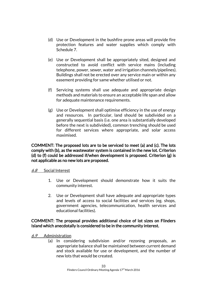- (d) Use or Development in the bushfire prone areas will provide fire protection features and water supplies which comply with Schedule 7.
- (e) Use or Development shall be appropriately sited, designed and constructed to avoid conflict with service mains (including telephone, power, sewer, water and irrigation channels/pipelines). Buildings shall not be erected over any service main or within any easement providing for same whether utilised or not.
- (f) Servicing systems shall use adequate and appropriate design methods and materials to ensure an acceptable life span and allow for adequate maintenance requirements.
- (g) Use or Development shall optimise efficiency in the use of energy and resources. In particular, land should be subdivided on a generally sequential basis (i.e. one area is substantially developed before the next is subdivided), common trenching should be used for different services where appropriate, and solar access maximised.

COMMENT: The proposed lots are to be serviced to meet (a) and (c). The lots comply with (b), as the wastewater system is contained in the new lot. Criterion (d) to (f) could be addressed if/when development is proposed. Criterion (g) is not applicable as no new lots are proposed.

# 6.8 Social Interest

- 1. Use or Development should demonstrate how it suits the community interest.
- 2. Use or Development shall have adequate and appropriate types and levels of access to social facilities and services (eg. shops, government agencies, telecommunication, health services and educational facilities).

# COMMENT: The proposal provides additional choice of lot sizes on Flinders Island which anecdotally is considered to be in the community interest.

- 6.9 Administration
	- (a) In considering subdivision and/or rezoning proposals, an appropriate balance shall be maintained between current demand and stock available for use or development, and the number of new lots that would be created.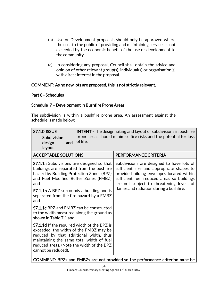- (b) Use or Development proposals should only be approved where the cost to the public of providing and maintaining services is not exceeded by the economic benefit of the use or development to the community.
- (c) In considering any proposal, Council shall obtain the advice and opinion of other relevant group(s), individual(s) or organisation(s) with direct interest in the proposal.

# COMMENT: As no new lots are proposed, this is not strictly relevant.

### Part 8 - Schedules

# Schedule 7 – Development in Bushfire Prone Areas

The subdivision is within a bushfire prone area. An assessment against the schedule is made below:

| <b>S7.1.0 ISSUE</b><br>Subdivision<br>design<br>and<br>layout                                                                                                                                                                                                                              | <b>INTENT</b> - The design, siting and layout of subdivisions in bushfire<br>prone areas should minimise fire risks and the potential for loss<br>of life. |                                                                                                                                                                                                                                                                          |
|--------------------------------------------------------------------------------------------------------------------------------------------------------------------------------------------------------------------------------------------------------------------------------------------|------------------------------------------------------------------------------------------------------------------------------------------------------------|--------------------------------------------------------------------------------------------------------------------------------------------------------------------------------------------------------------------------------------------------------------------------|
| <b>ACCEPTABLE SOLUTIONS</b>                                                                                                                                                                                                                                                                |                                                                                                                                                            | PERFORMANCE CRITERIA                                                                                                                                                                                                                                                     |
| <b>S7.1.1a</b> Subdivisions are designed so that<br>buildings are separated from the bushfire<br>hazard by Building Protection Zones (BPZ)<br>and Fuel Modified Buffer Zones (FMBZ)<br>and<br><b>S7.1.1b</b> A BPZ surrounds a building and is<br>separated from the fire hazard by a FMBZ |                                                                                                                                                            | Subdivisions are designed to have lots of<br>sufficient size and appropriate shapes to<br>provide building envelopes located within<br>sufficient fuel reduced areas so buildings<br>are not subject to threatening levels of<br>flames and radiation during a bushfire. |
| and<br><b>S7.1.1c</b> BPZ and FMBZ can be constructed<br>to the width measured along the ground as<br>shown in Table 7.1 and                                                                                                                                                               |                                                                                                                                                            |                                                                                                                                                                                                                                                                          |
| <b>S7.1.1d</b> If the required width of the BPZ is<br>exceeded, the width of the FMBZ may be<br>reduced by that additional width, thus<br>maintaining the same total width of fuel<br>reduced areas. (Note the width of the BPZ<br>cannot be reduced).                                     |                                                                                                                                                            |                                                                                                                                                                                                                                                                          |

 $\mid$  COMMENT: BPZs and FMBZs are not provided so the performance criterion must be  $\mid$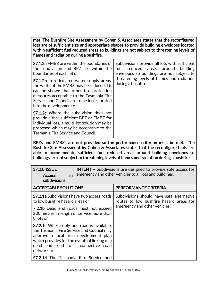met. The Bushfire Site Assessment by Cohen & Associates states that the reconfigured lots are of sufficient size and appropriate shapes to provide building envelopes located within sufficient fuel reduced areas so buildings are not subject to threatening levels of flames and radiation during a bushfire.

| <b>S7.1.2a</b> FMBZ are within the boundaries of<br>the subdivision and BPZ are within the<br>boundaries of each lot or<br><b>S7.1.2b</b> In reticulated water supply areas,<br>the width of the FMBZ may be reduced if it<br>can be shown that other fire protection<br>measures acceptable to the Tasmania Fire<br>Service and Council are to be incorporated<br>into the development or | Subdivisions provide all lots with sufficient<br>reduced areas around<br>fuel<br>building<br>envelopes so buildings are not subject to<br>threatening levels of flames and radiation<br>during a bushfire. |
|--------------------------------------------------------------------------------------------------------------------------------------------------------------------------------------------------------------------------------------------------------------------------------------------------------------------------------------------------------------------------------------------|------------------------------------------------------------------------------------------------------------------------------------------------------------------------------------------------------------|
| <b>S7.1.2c</b> Where the subdivision does not<br>provide either sufficient BPZ or FMBZ for<br>individual lots, a multi-lot solution may be<br>proposed which may be acceptable to the<br>Tasmania Fire Service and Council.                                                                                                                                                                |                                                                                                                                                                                                            |

BPZs and FMBZs are not provided so the performance criterion must be met. The Bushfire Site Assessment by Cohen & Associates states that the reconfigured lots are able to accommodate sufficient fuel reduced areas around building envelopes so buildings are not subject to threatening levels of flames and radiation during a bushfire.

| <b>S7.2.0 ISSUE</b><br>in<br><b>Access</b><br>subdivisions                                                                                                                                                                                 | <b>INTENT</b> - Subdivisions are designed to provide safe access for<br>emergency and other vehicles to all lots and buildings. |                                                                                                                       |
|--------------------------------------------------------------------------------------------------------------------------------------------------------------------------------------------------------------------------------------------|---------------------------------------------------------------------------------------------------------------------------------|-----------------------------------------------------------------------------------------------------------------------|
| <b>ACCEPTABLE SOLUTIONS</b>                                                                                                                                                                                                                |                                                                                                                                 | PERFORMANCE CRITERIA                                                                                                  |
| <b>S7.2.1a</b> Subdivisions have two access roads<br>to low bushfire hazard areas or                                                                                                                                                       |                                                                                                                                 | Subdivisions should have safe alternative<br>routes to low bushfire hazard areas for<br>emergency and other vehicles. |
| <b>7.2.1b</b> Dead end roads must not exceed<br>200 metres in length or service more than<br>8 lots or                                                                                                                                     |                                                                                                                                 |                                                                                                                       |
| <b>S7.2.1c</b> Where only one road is available,<br>the Tasmania Fire Service and Council may<br>approve a local area development plan<br>which provides for the eventual linking of a<br>dead end road to a connective road<br>network or |                                                                                                                                 |                                                                                                                       |
| <b>S7.2.1d</b> The Tasmania Fire Service and                                                                                                                                                                                               |                                                                                                                                 |                                                                                                                       |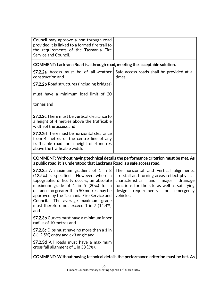| Council may approve a non through road<br>provided it is linked to a formed fire trail to<br>the requirements of the Tasmania Fire<br>Service and Council.                                                                                                                                                                                                           |                                                                                                                                                                                                                                                   |  |
|----------------------------------------------------------------------------------------------------------------------------------------------------------------------------------------------------------------------------------------------------------------------------------------------------------------------------------------------------------------------|---------------------------------------------------------------------------------------------------------------------------------------------------------------------------------------------------------------------------------------------------|--|
| COMMENT: Lackrana Road is a through road, meeting the acceptable solution.                                                                                                                                                                                                                                                                                           |                                                                                                                                                                                                                                                   |  |
| <b>S7.2.2a</b> Access must be of all-weather<br>construction and                                                                                                                                                                                                                                                                                                     | Safe access roads shall be provided at all<br>times.                                                                                                                                                                                              |  |
| <b>S7.2.2b</b> Road structures (including bridges)                                                                                                                                                                                                                                                                                                                   |                                                                                                                                                                                                                                                   |  |
| must have a minimum load limit of 20                                                                                                                                                                                                                                                                                                                                 |                                                                                                                                                                                                                                                   |  |
| tonnes and                                                                                                                                                                                                                                                                                                                                                           |                                                                                                                                                                                                                                                   |  |
| <b>S7.2.2c</b> There must be vertical clearance to<br>a height of 4 metres above the trafficable<br>width of the access and                                                                                                                                                                                                                                          |                                                                                                                                                                                                                                                   |  |
| <b>S7.2.2d</b> There must be horizontal clearance<br>from 4 metres of the centre line of any<br>trafficable road for a height of 4 metres<br>above the trafficable width.                                                                                                                                                                                            |                                                                                                                                                                                                                                                   |  |
| COMMENT: Without having technical details the performance criterion must be met. As<br>a public road, it is understood that Lackrana Road is a safe access road.                                                                                                                                                                                                     |                                                                                                                                                                                                                                                   |  |
| <b>S7.2.3a</b> A maximum gradient of 1 in 8<br>(12.5%) is specified. However, where a<br>topographic difficulty occurs, an absolute<br>maximum grade of $1$ in $5$ (20%) for a<br>distance no greater than 50 metres may be<br>approved by the Tasmania Fire Service and<br>Council.<br>The average maximum grade<br>must therefore not exceed 1 in 7 (14.4%)<br>and | The horizontal and vertical alignments,<br>crossfall and turning areas reflect physical<br>and<br>characteristics<br>major<br>drainage<br>functions for the site as well as satisfying<br>design<br>requirements<br>for<br>emergency<br>vehicles. |  |
| <b>S7.2.3b</b> Curves must have a minimum inner<br>radius of 10 metres and                                                                                                                                                                                                                                                                                           |                                                                                                                                                                                                                                                   |  |
| <b>S7.2.3c</b> Dips must have no more than a 1 in<br>8 (12.5%) entry and exit angle and                                                                                                                                                                                                                                                                              |                                                                                                                                                                                                                                                   |  |
| <b>S7.2.3d</b> All roads must have a maximum<br>cross fall alignment of 1 in 33 (3%).                                                                                                                                                                                                                                                                                |                                                                                                                                                                                                                                                   |  |
|                                                                                                                                                                                                                                                                                                                                                                      |                                                                                                                                                                                                                                                   |  |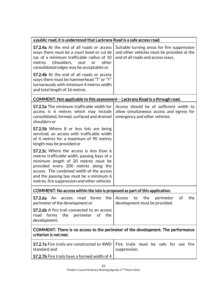| a public road, it is understood that Lackrana Road is a safe access road.                                                                                                                                                                                                                                         |                                                                                                                                |  |
|-------------------------------------------------------------------------------------------------------------------------------------------------------------------------------------------------------------------------------------------------------------------------------------------------------------------|--------------------------------------------------------------------------------------------------------------------------------|--|
| <b>S7.2.4a</b> At the end of all roads or access<br>ways there must be a court bowl or cul de<br>sac of a minimum trafficable radius of 10<br>(shoulders, seal<br>other<br>metres<br>or<br>consolidated edges may be acceptable) or                                                                               | Suitable turning areas for fire suppression<br>and other vehicles must be provided at the<br>end of all roads and access ways. |  |
| <b>S7.2.4b</b> At the end of all roads or access<br>ways there must be hammerhead "T" or "Y"<br>turnarounds with minimum 4 metres width<br>and total length of 16 metres.                                                                                                                                         |                                                                                                                                |  |
| COMMENT: Not applicable to this assessment - Lackrana Road is a through road.                                                                                                                                                                                                                                     |                                                                                                                                |  |
| <b>S7.2.5a</b> The minimum trafficable width for<br>access is 6 metres which may include<br>consolidated, formed, surfaced and drained<br>shoulders or                                                                                                                                                            | Access should be of sufficient width to<br>allow simultaneous access and egress for<br>emergency and other vehicles.           |  |
| <b>S7.2.5b</b> Where 8 or less lots are being<br>serviced, an access with trafficable width<br>of 4 metres for a maximum of 90 metres<br>length may be provided or                                                                                                                                                |                                                                                                                                |  |
| <b>S7.2.5c</b> Where the access is less than 6<br>metres trafficable width, passing bays of a<br>minimum length of 20 metres must be<br>provided every 200 metres along the<br>access. The combined width of the access<br>and the passing bay must be a minimum 6<br>metres. fire suppression and other vehicles |                                                                                                                                |  |
| COMMENT: No access within the lots is proposed as part of this application.                                                                                                                                                                                                                                       |                                                                                                                                |  |
| S7.2.6a<br>An<br>forms<br>the<br>access<br>road<br>perimeter of the development or                                                                                                                                                                                                                                | the<br>perimeter<br>of<br>the<br>Access<br>to<br>development must be provided.                                                 |  |
| <b>S7.2.6b</b> A fire trail connected to an access<br>the<br>perimeter<br>of the<br>road<br>forms<br>development.                                                                                                                                                                                                 |                                                                                                                                |  |
| COMMENT: There is no access to the perimeter of the development. The performance<br>criterion is not met.                                                                                                                                                                                                         |                                                                                                                                |  |
| <b>S7.2.7a</b> Fire trails are constructed to 4WD<br>standard and                                                                                                                                                                                                                                                 | Fire trails must be safe for use fire<br>suppression.                                                                          |  |
| <b>S7.2.7b</b> Fire trails have a formed width of 4                                                                                                                                                                                                                                                               |                                                                                                                                |  |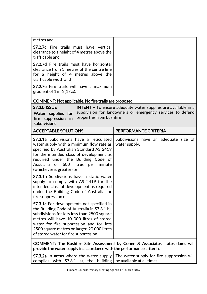| metres and                                                                                                                                                                                                                                                                                                                                                                                                                                                                                                        |                                                                                                                                    |  |
|-------------------------------------------------------------------------------------------------------------------------------------------------------------------------------------------------------------------------------------------------------------------------------------------------------------------------------------------------------------------------------------------------------------------------------------------------------------------------------------------------------------------|------------------------------------------------------------------------------------------------------------------------------------|--|
| <b>S7.2.7c</b> Fire trails must have vertical<br>clearance to a height of 4 metres above the<br>trafficable and                                                                                                                                                                                                                                                                                                                                                                                                   |                                                                                                                                    |  |
| <b>S7.2.7d</b> Fire trails must have horizontal<br>clearance from 3 metres of the centre line<br>for a height of 4 metres above the<br>trafficable width and                                                                                                                                                                                                                                                                                                                                                      |                                                                                                                                    |  |
| <b>S7.2.7e</b> Fire trails will have a maximum<br>gradient of $1$ in 6 (17%).                                                                                                                                                                                                                                                                                                                                                                                                                                     |                                                                                                                                    |  |
| COMMENT: Not applicable. No fire trails are proposed.                                                                                                                                                                                                                                                                                                                                                                                                                                                             |                                                                                                                                    |  |
| <b>S7.3.0 ISSUE</b><br>Water supplies for<br>properties from bushfire<br>fire suppression<br>in.<br>subdivisions                                                                                                                                                                                                                                                                                                                                                                                                  | <b>INTENT</b> - To ensure adequate water supplies are available in a<br>subdivision for landowners or emergency services to defend |  |
| <b>ACCEPTABLE SOLUTIONS</b>                                                                                                                                                                                                                                                                                                                                                                                                                                                                                       | PERFORMANCE CRITERIA                                                                                                               |  |
| <b>S7.3.1a</b> Subdivisions have a reticulated<br>water supply with a minimum flow rate as<br>specified by Australian Standard AS 2419<br>for the intended class of development as<br>required under the Building Code of<br>Australia<br>or 600 litres<br>minute<br>per<br>(whichever is greater) or<br><b>S7.3.1b</b> Subdivisions have a static water<br>supply to comply with AS 2419 for the<br>intended class of development as required<br>under the Building Code of Australia for<br>fire suppression or | Subdivisions have an adequate size of<br>water supply.                                                                             |  |
| <b>S7.3.1c</b> For developments not specified in<br>the Building Code of Australia in S7.3.1 b),<br>subdivisions for lots less than 2500 square<br>metres will have 10 000 litres of stored<br>water for fire suppression and for lots<br>2500 square metres or larger, 20 000 litres<br>of stored water for fire suppression.                                                                                                                                                                                    |                                                                                                                                    |  |
| COMMENT: The Bushfire Site Assessment by Cohen & Associates states dams will<br>provide the water supply in accordance with the performance criteria.                                                                                                                                                                                                                                                                                                                                                             |                                                                                                                                    |  |
| <b>S7.3.2a</b> In areas where the water supply<br>complies with S7.3.1 a), the<br>building                                                                                                                                                                                                                                                                                                                                                                                                                        | The water supply for fire suppression will<br>be available at all times.                                                           |  |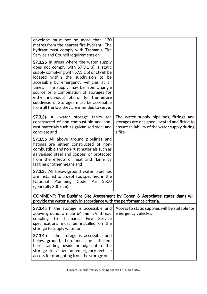| envelope must not be more than 130<br>metres from the nearest fire hydrant. The<br>hydrant must comply with Tasmania Fire<br>Service and Council requirements or<br><b>S7.3.2b</b> In areas where the water supply<br>does not comply with S7.3.1 a), a static<br>supply complying with S7.3.1 b) or c) will be<br>located within the subdivision to be<br>accessible by emergency vehicles at all<br>times. The supply may be from a single<br>source or a combination of storages for<br>either individual lots or for the entire<br>subdivision. Storages must be accessible<br>from all the lots they are intended to serve. |                                                                                                                                                      |
|----------------------------------------------------------------------------------------------------------------------------------------------------------------------------------------------------------------------------------------------------------------------------------------------------------------------------------------------------------------------------------------------------------------------------------------------------------------------------------------------------------------------------------------------------------------------------------------------------------------------------------|------------------------------------------------------------------------------------------------------------------------------------------------------|
| <b>S7.3.3a</b> All water storage tanks are<br>constructed of non-combustible and non-<br>rust materials such as galvanised steel and<br>concrete and                                                                                                                                                                                                                                                                                                                                                                                                                                                                             | The water supply pipelines, fittings and<br>storages are designed, located and fitted to<br>ensure reliability of the water supply during<br>a fire. |
| <b>S7.3.3b</b> All above ground pipelines and<br>fittings are either constructed of non-<br>combustible and non-rust materials such as<br>galvanised steel and copper, or protected<br>from the effects of heat and flame by<br>lagging or other means and                                                                                                                                                                                                                                                                                                                                                                       |                                                                                                                                                      |
| <b>S7.3.3c</b> All below-ground water pipelines<br>are installed to a depth as specified in the<br>Plumbing Code AS<br>3500<br>National<br>(generally 300 mm).                                                                                                                                                                                                                                                                                                                                                                                                                                                                   |                                                                                                                                                      |
| provide the water supply in accordance with the performance criteria.                                                                                                                                                                                                                                                                                                                                                                                                                                                                                                                                                            | COMMENT: The Bushfire Site Assessment by Cohen & Associates states dams will                                                                         |
| <b>S7.3.4a</b> If the storage is accessible and<br>above ground, a male 64 mm 5V thread<br>Fire<br>coupling to<br>Tasmania<br>Service<br>specifications must be installed on the<br>storage to supply water or                                                                                                                                                                                                                                                                                                                                                                                                                   | Access to static supplies will be suitable for<br>emergency vehicles.                                                                                |
| <b>S7.3.4b</b> If the storage is accessible and<br>below ground, there must be sufficient<br>hard standing beside or adjacent to the<br>storage to allow an emergency vehicle<br>access for draughting from the storage or                                                                                                                                                                                                                                                                                                                                                                                                       |                                                                                                                                                      |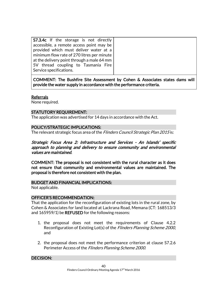| <b>S7.3.4c</b> If the storage is not directly |  |
|-----------------------------------------------|--|
| accessible, a remote access point may be      |  |
| provided which must deliver water at a        |  |
| minimum flow rate of 270 litres per minute    |  |
| at the delivery point through a male 64 mm    |  |
| 5V thread coupling to Tasmania Fire           |  |
| Service specifications.                       |  |
|                                               |  |

COMMENT: The Bushfire Site Assessment by Cohen & Associates states dams will provide the water supply in accordance with the performance criteria.

#### **Referrals**

None required.

# STATUTORY REQUIREMENT:

The application was advertised for 14 days in accordance with the Act.

### POLICY/STRATEGIC IMPLICATIONS:

The relevant strategic focus area of the Flinders Council Strategic Plan 2015 is:

# Strategic Focus Area 2: Infrastructure and Services - An Islands' specific approach to planning and delivery to ensure community and environmental values are maintained.

COMMENT: The proposal is not consistent with the rural character as it does not ensure that community and environmental values are maintained. The proposal is therefore not consistent with the plan.

# BUDGET AND FINANCIAL IMPLICATIONS:

Not applicable.

#### OFFICER'S RECOMMENDATION:

That the application for the reconfiguration of existing lots in the rural zone, by Cohen & Associates for land located at Lackrana Road, Memana (CT: 168513/3 and 165959/1) be **REFUSED** for the following reasons:

- 1. the proposal does not meet the requirements of Clause 4.2.2 Reconfiguration of Existing Lot(s) of the Flinders Planning Scheme 2000, and
- 2. the proposal does not meet the performance criterion at clause S7.2.6 Perimeter Access of the Flinders Planning Scheme 2000.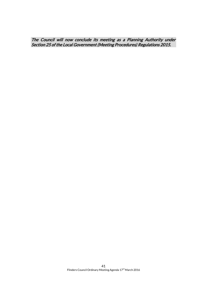The Council will now conclude its meeting as a Planning Authority under Section 25 of the Local Government (Meeting Procedures) Regulations 2015.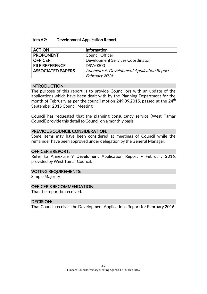| <b>ACTION</b>            | <b>Information</b>                           |
|--------------------------|----------------------------------------------|
| <b>PROPONENT</b>         | <b>Council Officer</b>                       |
| <b>OFFICER</b>           | Development Services Coordinator             |
| <b>FILE REFERENCE</b>    | DSV/0300                                     |
| <b>ASSOCIATED PAPERS</b> | Annexure 9: Development Application Report - |
|                          | February 2016                                |

#### INTRODUCTION:

The purpose of this report is to provide Councillors with an update of the applications which have been dealt with by the Planning Department for the month of February as per the council motion 249.09.2015, passed at the  $24<sup>th</sup>$ September 2015 Council Meeting.

Council has requested that the planning consultancy service (West Tamar Council) provide this detail to Council on a monthly basis.

### PREVIOUS COUNCIL CONSIDERATION:

Some items may have been considered at meetings of Council while the remainder have been approved under delegation by the General Manager.

# OFFICER'S REPORT:

Refer to Annexure 9 Develoment Application Report – February 2016, provided by West Tamar Council.

#### VOTING REQUIREMENTS:

Simple Majority

# OFFICER'S RECOMMENDATION:

That the report be received.

#### DECISION:

That Council receives the Development Applications Report for February 2016.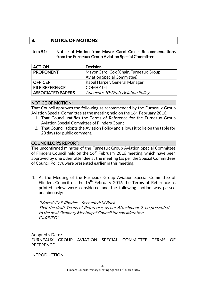# **B. NOTICE OF MOTIONS**

#### Item B1: Notice of Motion from Mayor Carol Cox – Recommendations from the Furneaux Group Aviation Special Committee

| <b>ACTION</b>            | <b>Decision</b>                           |
|--------------------------|-------------------------------------------|
| <b>PROPONENT</b>         | Mayor Carol Cox (Chair, Furneaux Group    |
|                          | <b>Aviation Special Committee)</b>        |
| <b>OFFICER</b>           | Raoul Harper, General Manager             |
| <b>FILE REFERENCE</b>    | COM/0104                                  |
| <b>ASSOCIATED PAPERS</b> | <b>Annexure 10: Draft Aviation Policy</b> |

#### NOTICE OF MOTION:

That Council approves the following as recommended by the Furneaux Group Aviation Special Committee at the meeting held on the  $16<sup>th</sup>$  February 2016.

- 1. That Council ratifies the Terms of Reference for the Furneaux Group Aviation Special Committee of Flinders Council.
- 2. That Council adopts the Aviation Policy and allows it to lie on the table for 28 days for public comment.

#### COUNCILLOR'S REPORT:

The unconfirmed minutes of the Furneaux Group Aviation Special Committee of Flinders Council held on the  $16<sup>th</sup>$  February 2016 meeting, which have been approved by one other attendee at the meeting (as per the Special Committees of Council Policy), were presented earlier in this meeting.

1. At the Meeting of the Furneaux Group Aviation Special Committee of Flinders Council on the 16<sup>th</sup> February 2016 the Terms of Reference as printed below were considered and the following motion was passed unanimously:

"Moved: Cr P Rhodes Seconded: M Buck That the draft Terms of Reference, as per Attachment 2, be presented to the next Ordinary Meeting of Council for consideration. CARRIED"

Adopted < Date> FURNEAUX GROUP AVIATION SPECIAL COMMITTEE TERMS OF **REFERENCE** 

#### INTRODUCTION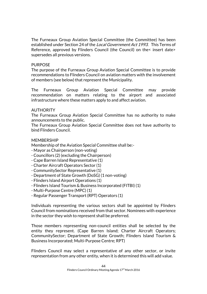The Furneaux Group Aviation Special Committee (the Committee) has been established under Section 24 of the *Local Government Act 1993*. This Terms of Reference, approved by Flinders Council (the Council) on the insert date> supersedes all previous versions.

#### **PURPOSE**

The purpose of the Furneaux Group Aviation Special Committee is to provide recommendations to Flinders Council on aviation matters with the involvement of members (see below) that represent the Municipality.

The Furneaux Group Aviation Special Committee may provide recommendation on matters relating to the airport and associated infrastructure where these matters apply to and affect aviation.

### AUTHORITY

The Furneaux Group Aviation Special Committee has no authority to make announcements to the public.

The Furneaux Group Aviation Special Committee does not have authority to bind Flinders Council.

### **MEMBERSHIP**

Membership of the Aviation Special Committee shall be:-

- Mayor as Chairperson (non-voting)
- Councillors (2) (excluding the Chairperson)
- Cape Barren Island Representative (1)
- Charter Aircraft Operators Sector (1)
- CommunitySector Representative (1)
- Department of State Growth (DoSG) (1 non-voting)
- Flinders Island Airport Operations (1)
- Flinders Island Tourism & Business Incorporated (FITBI) (1)
- Multi-Purpose Centre (MPC) (1)
- Regular Passenger Transport (RPT) Operators (1)

Individuals representing the various sectors shall be appointed by Flinders Council from nominations received from that sector. Nominees with experience in the sector they wish to represent shall be preferred.

Those members representing non-council entities shall be selected by the entity they represent. (Cape Barren Island; Charter Aircraft Operators; CommunitySector; Department of State Growth; Flinders Island Tourism & Business Incorporated; Multi-Purpose Centre; RPT)

Flinders Council may select a representative of any other sector, or invite representation from any other entity, when it is determined this will add value.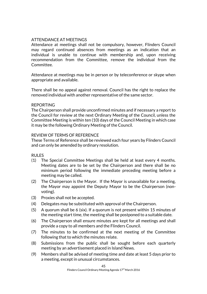# ATTENDANCE AT MEETINGS

Attendance at meetings shall not be compulsory, however, Flinders Council may regard continued absences from meetings as an indication that an individual is unable to continue with membership and, upon receiving recommendation from the Committee, remove the individual from the Committee.

Attendance at meetings may be in person or by teleconference or skype when appropriate and available.

There shall be no appeal against removal. Council has the right to replace the removed individual with another representative of the same sector.

#### REPORTING

The Chairperson shall provide unconfirmed minutes and if necessary a report to the Council for review at the next Ordinary Meeting of the Council, unless the Committee Meeting is within ten (10) days of the Council Meeting in which case it may be the following Ordinary Meeting of the Council.

#### REVIEW OF TERMS OF REFERENCE

These Terms of Reference shall be reviewed each four years by Flinders Council and can only be amended by ordinary resolution.

#### RULES

- (1) The Special Committee Meetings shall be held at least every 4 months. Meeting dates are to be set by the Chairperson and there shall be no minimum period following the immediate preceding meeting before a meeting may be called.
- (2) The Chairperson is the Mayor. If the Mayor is unavailable for a meeting, the Mayor may appoint the Deputy Mayor to be the Chairperson (nonvoting).
- (3) Proxies shall not be accepted.
- (4) Delegates may be substituted with approval of the Chairperson.
- (5) A quorum shall be 6 (six). If a quorum is not present within 15 minutes of the meeting start time, the meeting shall be postponed to a suitable date.
- (6) The Chairperson shall ensure minutes are kept for all meetings and shall provide a copy to all members and the Flinders Council.
- (7) The minutes to be confirmed at the next meeting of the Committee following that to which the minutes relate.
- (8) Submissions from the public shall be sought before each quarterly meeting by an advertisement placed in Island News.
- (9) Members shall be advised of meeting time and date at least 5 days prior to a meeting, except in unusual circumstances.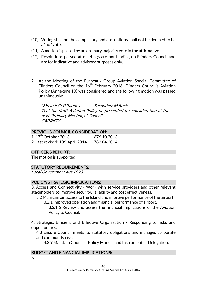- (10) Voting shall not be compulsory and abstentions shall not be deemed to be a "no" vote.
- (11) A motion is passed by an ordinary majority vote in the affirmative.
- (12) Resolutions passed at meetings are not binding on Flinders Council and are for indicative and advisory purposes only.
- 2. At the Meeting of the Furneaux Group Aviation Special Committee of Flinders Council on the  $16<sup>th</sup>$  February 2016, Flinders Council's Aviation Policy (Annexure 10) was considered and the following motion was passed unanimously:

"Moved: Cr P Rhodes Seconded: M Buck That the draft Aviation Policy be presented for consideration at the next Ordinary Meeting of Council. CARRIED"

# PREVIOUS COUNCIL CONSIDERATION:

| 1.17 <sup>th</sup> October 2013              | 676.10.2013 |
|----------------------------------------------|-------------|
| 2. Last revised: 10 <sup>th</sup> April 2014 | 782.04.2014 |

# OFFICER'S REPORT:

The motion is supported.

# STATUTORY REQUIREMENTS:

Local Government Act 1993

# POLICY/STRATEGIC IMPLICATIONS:

3. Access and Connectivity - Work with service providers and other relevant stakeholders to improve security, reliability and cost effectiveness.

- 3.2 Maintain air access to the Island and improve performance of the airport.
	- 3.2.1 Improved operation and financial performance of airport.
		- 3.2.1.6 Review and assess the financial implications of the Aviation Policy to Council.

4. Strategic, Efficient and Effective Organisation - Responding to risks and opportunities.

4.3 Ensure Council meets its statutory obligations and manages corporate and community risk.

4.3.9 Maintain Council's Policy Manual and Instrument of Delegation.

#### BUDGET AND FINANCIAL IMPLICATIONS: Nil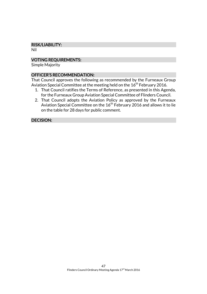# RISK/LIABILITY:

Nil

# VOTING REQUIREMENTS:

Simple Majority

# OFFICER'S RECOMMENDATION:

That Council approves the following as recommended by the Furneaux Group Aviation Special Committee at the meeting held on the  $16<sup>th</sup>$  February 2016.

- 1. That Council ratifies the Terms of Reference, as presented in this Agenda, for the Furneaux Group Aviation Special Committee of Flinders Council.
- 2. That Council adopts the Aviation Policy as approved by the Furneaux Aviation Special Committee on the 16<sup>th</sup> February 2016 and allows it to lie on the table for 28 days for public comment.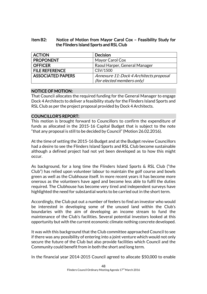# Item B2: Notice of Motion from Mayor Carol Cox – Feasibility Study for the Flinders Island Sports and RSL Club

| <b>ACTION</b>            | <b>Decision</b>                         |
|--------------------------|-----------------------------------------|
| <b>PROPONENT</b>         | Mayor Carol Cox                         |
| <b>OFFICER</b>           | Raoul Harper, General Manager           |
| <b>FILE REFERENCE</b>    | CSV/1500                                |
| <b>ASSOCIATED PAPERS</b> | Annexure 11: Dock 4 Architects proposal |
|                          | (for elected members only)              |

# NOTICE OF MOTION:

That Council allocates the required funding for the General Manager to engage Dock 4 Architects to deliver a feasibility study for the Flinders Island Sports and RSL Club as per the project proposal provided by Dock 4 Architects.

# COUNCILLOR'S REPORT:

This motion is brought forward to Councillors to confirm the expenditure of funds as allocated in the 2015-16 Capital Budget that is subject to the note "that any proposal is still to be decided by Council" (Motion 26.02.2016).

At the time of setting the 2015-16 Budget and at the Budget review Councillors had a desire to see the Flinders Island Sports and RSL Club become sustainable although a defined project had not yet been developed as to how this might occur.

As background, for a long time the Flinders Island Sports & RSL Club ("the Club") has relied upon volunteer labour to maintain the golf course and bowls green as well as the Clubhouse itself. In more recent years it has become more onerous as the volunteers have aged and become less able to fulfil the duties required. The Clubhouse has become very tired and independent surveys have highlighted the need for substantial works to be carried out in the short term.

Accordingly, the Club put out a number of feelers to find an investor who would be interested in developing some of the unused land within the Club's boundaries with the aim of developing an income stream to fund the maintenance of the Club's facilities. Several potential investors looked at this opportunity but with the current economic climate nothing concrete developed.

It was with this background that the Club committee approached Council to see if there was any possibility of entering into a joint venture which would not only secure the future of the Club but also provide facilities which Council and the Community could benefit from in both the short and long term.

In the financial year 2014-2015 Council agreed to allocate \$50,000 to enable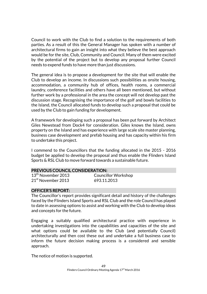Council to work with the Club to find a solution to the requirements of both parties. As a result of this the General Manager has spoken with a number of architectural firms to gain an insight into what they believe the best approach would be for the site, Club, Community and Council. Many of them were excited by the potential of the project but to develop any proposal further Council needs to expend funds to have more than just discussions.

The general idea is to propose a development for the site that will enable the Club to develop an income. In discussions such possibilities as onsite housing, accommodation, a community hub of offices, health rooms, a commercial laundry, conference facilities and others have all been mentioned, but without further work by a professional in the area the concept will not develop past the discussion stage. Recognising the importance of the golf and bowls facilities to the Island, the Council allocated funds to develop such a proposal that could be used by the Club to gain funding for development.

A framework for developing such a proposal has been put forward by Architect Giles Newstead from Dock4 for consideration. Giles knows the Island, owns property on the Island and has experience with large scale site master planning, business case development and prefab housing and has capacity within his firm to undertake this project.

I commend to the Councillors that the funding allocated in the 2015 - 2016 budget be applied to develop the proposal and thus enable the Flinders Island Sports & RSL Club to move forward towards a sustainable future.

# PREVIOUS COUNCIL CONSIDERATION:

21<sup>st</sup> November 2013 693.11.2013

13<sup>th</sup> November 2013 Councillor Workshop

#### OFFICER'S REPORT:

The Councillor's report provides significant detail and history of the challenges faced by the Flinders Island Sports and RSL Club and the role Council has played to date in assessing options to assist and working with the Club to develop ideas and concepts for the future.

Engaging a suitably qualified architectural practice with experience in undertaking investigations into the capabilities and capacities of the site and what options could be available to the Club (and potentially Council) architecturally and then cost these out and undertake a full business case to inform the future decision making process is a considered and sensible approach.

The notice of motion is supported.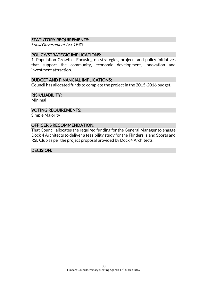# STATUTORY REQUIREMENTS:

Local Government Act 1993

#### POLICY/STRATEGIC IMPLICATIONS:

1. Population Growth - Focusing on strategies, projects and policy initiatives that support the community, economic development, innovation and investment attraction.

#### BUDGET AND FINANCIAL IMPLICATIONS:

Council has allocated funds to complete the project in the 2015-2016 budget.

#### RISK/LIABILITY:

Minimal

#### VOTING REQUIREMENTS:

Simple Majority

#### OFFICER'S RECOMMENDATION:

That Council allocates the required funding for the General Manager to engage Dock 4 Architects to deliver a feasibility study for the Flinders Island Sports and RSL Club as per the project proposal provided by Dock 4 Architects.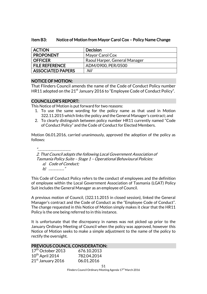### Item B3: Notice of Motion from Mayor Carol Cox – Policy Name Change

| <b>ACTION</b>         | <b>Decision</b>               |
|-----------------------|-------------------------------|
| <b>PROPONENT</b>      | Mayor Carol Cox               |
| <b>OFFICER</b>        | Raoul Harper, General Manager |
| <b>FILE REFERENCE</b> | ADM/0900, PER/0500            |
| ASSOCIATED PAPERS     | Nil                           |

### NOTICE OF MOTION:

That Flinders Council amends the name of the Code of Conduct Policy number HR11 adopted on the  $21<sup>st</sup>$  January 2016 to "Employee Code of Conduct Policy".

#### COUNCILLOR'S REPORT:

This Notice of Motion is put forward for two reasons:

- 1. To use the same wording for the policy name as that used in Motion 322.11.2015 which links the policy and the General Manager's contract; and
- 2. To clearly distinguish between policy number HR11 currently named "Code of Conduct Policy" and the Code of Conduct for Elected Members.

Motion 06.01.2016, carried unanimously, approved the adoption of the policy as follows:

"……………………………. 2. That Council adopts the following Local Government Association of Tasmania Policy Suite – Stage 1 – Operational Behavioural Policies: a) Code of Conduct; b) ……………."

This Code of Conduct Policy refers to the conduct of employees and the definition of employee within the Local Government Association of Tasmania (LGAT) Policy Suit includes the General Manager as an employee of Council.

A previous motion of Council, (322.11.2015 in closed session), linked the General Manager's contract and the Code of Conduct as the "Employee Code of Conduct". The change requested in this Notice of Motion simply makes it clear that the HR11 Policy is the one being referred to in this instance.

It is unfortunate that the discrepancy in names was not picked up prior to the January Ordinary Meeting of Council when the policy was approved, however this Notice of Motion seeks to make a simple adjustment to the name of the policy to rectify the oversight.

#### PREVIOUS COUNCIL CONSIDERATION:

| 17 <sup>th</sup> October 2013 | 676.10.2013 |
|-------------------------------|-------------|
| $10^{th}$ April 2014          | 782.04.2014 |
| 21st January 2016             | 06.01.2016  |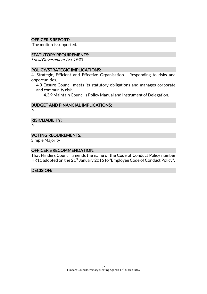#### OFFICER'S REPORT:

The motion is supported.

#### STATUTORY REQUIREMENTS:

Local Government Act 1993

#### POLICY/STRATEGIC IMPLICATIONS:

4. Strategic, Efficient and Effective Organisation - Responding to risks and opportunities.

4.3 Ensure Council meets its statutory obligations and manages corporate and community risk.

4.3.9 Maintain Council's Policy Manual and Instrument of Delegation.

#### BUDGET AND FINANCIAL IMPLICATIONS:

Nil

#### RISK/LIABILITY:

Nil

### VOTING REQUIREMENTS:

Simple Majority

#### OFFICER'S RECOMMENDATION:

That Flinders Council amends the name of the Code of Conduct Policy number HR11 adopted on the 21<sup>st</sup> January 2016 to "Employee Code of Conduct Policy".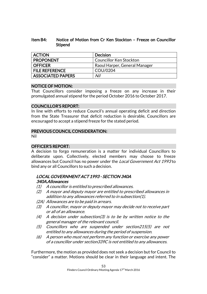# Item B4: Notice of Motion from Cr Ken Stockton – Freeze on Councillor Stipend

| <b>ACTION</b>         | <b>Decision</b>                |
|-----------------------|--------------------------------|
| <b>PROPONENT</b>      | <b>Councillor Ken Stockton</b> |
| <b>OFFICER</b>        | Raoul Harper, General Manager  |
| <b>FILE REFERENCE</b> | COU/0204                       |
| ASSOCIATED PAPERS     | Nil                            |

# NOTICE OF MOTION:

That Councillors consider imposing a freeze on any increase in their promulgated annual stipend for the period October 2016 to October 2017.

### COUNCILLOR'S REPORT:

In line with efforts to reduce Council's annual operating deficit and direction from the State Treasurer that deficit reduction is desirable, Councillors are encouraged to accept a stipend freeze for the stated period.

# PREVIOUS COUNCIL CONSIDERATION:

Nil

# OFFICER'S REPORT:

A decision to forgo remuneration is a matter for individual Councillors to deliberate upon. Collectively, elected members may choose to freeze allowances but Council has no power under the *Local Government Act 1993* to bind any or all Councillors to such a decision.

# LOCAL GOVERNMENT ACT 1993 - SECTION 340A 340A. Allowances

- (1) A councillor is entitled to prescribed allowances.
- (2) A mayor and deputy mayor are entitled to prescribed allowances in addition to any allowances referred to in subsection(1).
- (2A) Allowances are to be paid in arrears.
- (3) A councillor, mayor or deputy mayor may decide not to receive part or all of an allowance.
- $(4)$  A decision under subsection(3) is to be by written notice to the general manager of the relevant council.
- (5) Councillors who are suspended under section215(5) are not entitled to any allowances during the period of suspension.
- (6) A person who must not perform any function or exercise any power of a councillor under section339C is not entitled to any allowances.

Furthermore, the motion as provided does not seek a decision but for Council to "consider" a matter. Motions should be clear in their language and intent. The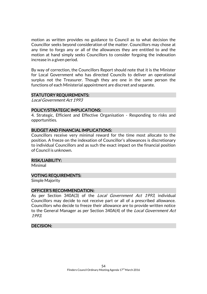motion as written provides no guidance to Council as to what decision the Councillor seeks beyond consideration of the matter. Councillors may chose at any time to forgo any or all of the allowances they are entitled to and the motion at hand simply seeks Councillors to consider forgoing the indexation increase in a given period.

By way of correction, the Councillors Report should note that it is the Minister for Local Government who has directed Councils to deliver an operational surplus not the Treasurer. Though they are one in the same person the functions of each Ministerial appointment are discreet and separate.

#### STATUTORY REQUIREMENTS:

Local Government Act 1993

#### POLICY/STRATEGIC IMPLICATIONS:

4. Strategic, Efficient and Effective Organisation - Responding to risks and opportunities.

#### BUDGET AND FINANCIAL IMPLICATIONS:

Councillors receive very minimal reward for the time most allocate to the position. A freeze on the indexation of Councillor's allowances is discretionary to individual Councillors and as such the exact impact on the financial position of Council is unknown.

#### RISK/LIABILITY:

Minimal

#### VOTING REQUIREMENTS:

Simple Majority

#### OFFICER'S RECOMMENDATION:

As per Section 340A(3) of the *Local Government Act 1993*, individual Councillors may decide to not receive part or all of a prescribed allowance. Councillors who decide to freeze their allowance are to provide written notice to the General Manager as per Section 340A(4) of the Local Government Act 1993.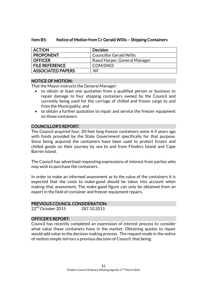### Item B5: Notice of Motion from Cr Gerald Willis – Shipping Containers

| <b>ACTION</b>            | <b>Decision</b>                 |
|--------------------------|---------------------------------|
| <b>PROPONENT</b>         | <b>Councillor Gerald Willis</b> |
| <b>OFFICER</b>           | Raoul Harper, General Manager   |
| <b>FILE REFERENCE</b>    | COM/0403                        |
| <b>ASSOCIATED PAPERS</b> | Nil                             |

# NOTICE OF MOTION:

That the Mayor instructs the General Manager:

- to obtain at least one quotation from a qualified person or business to repair damage to four shipping containers owned by the Council and currently being used for the carriage of chilled and frozen cargo to and from the Municipality; and
- to obtain a further quotation to repair and service the freezer equipment on those containers.

# COUNCILLOR'S REPORT:

The Council acquired four, 20-feet long freezer containers some 4-5 years ago with funds provided by the State Government specifically for that purpose. Since being acquired the containers have been used to protect frozen and chilled goods on their journey by sea to and from Flinders Island and Cape Barren Island.

The Council has advertised requesting expressions of interest from parties who may wish to purchase the containers.

In order to make an informed assessment as to the value of the containers it is expected that the costs to make-good should be taken into account when making that assessment. The make-good figure can only be obtained from an expert in the field of container and freezer equipment repairs.

#### PREVIOUS COUNCIL CONSIDERATION:

22<sup>nd</sup> October 2015 287.10.2015

# OFFICER'S REPORT:

Council has recently completed an expression of interest process to consider what value these containers have in the market. Obtaining quotes to repair would add value to the decision making process. The request made in the notice of motion simple mirrors a previous decision of Council, that being: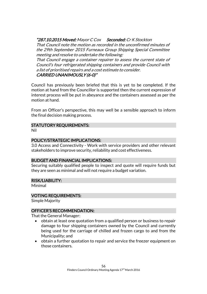"287.10.2015 Moved: Mayor C Cox Seconded: Cr K Stockton

That Council note the motion as recorded in the unconfirmed minutes of the 29th September 2015 Furneaux Group Shipping Special Committee meeting and resolve to undertake the following:

CARRIED UNANIMOUSLY (6-0)" That Council engage a container repairer to assess the current state of Council's four refrigerated shipping containers and provide Council with a list of prioritised repairs and a cost estimate to consider.

Council has previously been briefed that this is yet to be completed. If the motion at hand from the Councillor is supported then the current expression of interest process will be put in abeyance and the containers assessed as per the motion at hand.

From an Officer's perspective, this may well be a sensible approach to inform the final decision making process.

# STATUTORY REQUIREMENTS:

Nil

# POLICY/STRATEGIC IMPLICATIONS:

3.0 Access and Connectivity - Work with service providers and other relevant stakeholders to improve security, reliability and cost effectiveness.

# BUDGET AND FINANCIAL IMPLICATIONS:

Securing suitably qualified people to inspect and quote will require funds but they are seen as minimal and will not require a budget variation.

# RISK/LIABILITY:

Minimal

# VOTING REQUIREMENTS:

Simple Majority

# OFFICER'S RECOMMENDATION:

That the General Manager:

- obtain at least one quotation from a qualified person or business to repair damage to four shipping containers owned by the Council and currently being used for the carriage of chilled and frozen cargo to and from the Municipality; and
- obtain a further quotation to repair and service the freezer equipment on those containers.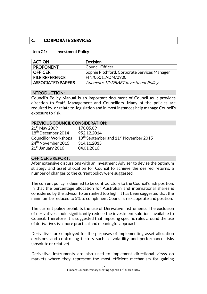# **C. CORPORATE SERVICES**

#### Item C1: Investment Policy

| <b>ACTION</b>            | <b>Decision</b>                              |
|--------------------------|----------------------------------------------|
| <b>PROPONENT</b>         | <b>Council Officer</b>                       |
| <b>OFFICER</b>           | Sophie Pitchford, Corporate Services Manager |
| <b>FILE REFERENCE</b>    | FIN/0501, ADM/0900                           |
| <b>ASSOCIATED PAPERS</b> | Annexure 12: DRAFT Investment Policy         |

#### INTRODUCTION:

Council's Policy Manual is an important document of Council as it provides direction to Staff, Management and Councillors. Many of the policies are required by, or relate to, legislation and in most instances help manage Council's exposure to risk.

#### PREVIOUS COUNCIL CONSIDERATION:

| $21st$ May 2009                | 170.05.09                                                     |
|--------------------------------|---------------------------------------------------------------|
| 18 <sup>th</sup> December 2014 | 952.12.2014                                                   |
| <b>Councillor Workshops</b>    | 10 <sup>th</sup> September and 11 <sup>th</sup> November 2015 |
| 24 <sup>th</sup> November 2015 | 314.11.2015                                                   |
| 21 <sup>st</sup> January 2016  | 04.01.2016                                                    |

#### OFFICER'S REPORT:

After extensive discussions with an Investment Adviser to devise the optimum strategy and asset allocation for Council to achieve the desired returns, a number of changes to the current policy were suggested.

The current policy is deemed to be contradictory to the Council's risk position, in that the percentage allocation for Australian and international shares is considered by the advisor to be ranked too high. It has been suggested that the minimum be reduced to 5% to compliment Council's risk appetite and position.

The current policy prohibits the use of Derivative Instruments. The exclusion of derivatives could significantly reduce the investment solutions available to Council. Therefore, it is suggested that imposing specific rules around the use of derivatives is a more practical and meaningful approach.

Derivatives are employed for the purposes of implementing asset allocation decisions and controlling factors such as volatility and performance risks (absolute or relative).

Derivative instruments are also used to implement directional views on markets where they represent the most efficient mechanism for gaining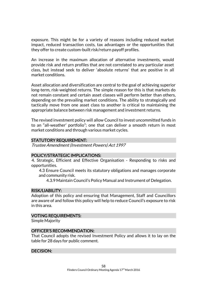exposure. This might be for a variety of reasons including reduced market impact, reduced transaction costs, tax advantages or the opportunities that they offer to create custom-built risk/return payoff profiles.

An increase in the maximum allocation of alternative investments, would provide risk and return profiles that are not correlated to any particular asset class, but instead seek to deliver 'absolute returns' that are positive in all market conditions.

Asset allocation and diversification are central to the goal of achieving superior long-term, risk-weighted returns. The simple reason for this is that markets do not remain constant and certain asset classes will perform better than others, depending on the prevailing market conditions. The ability to strategically and tactically move from one asset class to another is critical to maintaining the appropriate balance between risk management and investment returns.

The revised investment policy will allow Council to invest uncommitted funds in to an "all-weather' portfolio"; one that can deliver a smooth return in most market conditions and through various market cycles.

### STATUTORY REQUIREMENT:

Trustee Amendment (Investment Powers) Act 1997

#### POLICY/STRATEGIC IMPLICATIONS:

4. Strategic, Efficient and Effective Organisation - Responding to risks and opportunities.

4.3 Ensure Council meets its statutory obligations and manages corporate and community risk.

4.3.9 Maintain Council's Policy Manual and Instrument of Delegation.

### RISK/LIABILITY:

Adoption of this policy and ensuring that Management, Staff and Councillors are aware of and follow this policy will help to reduce Council's exposure to risk in this area.

#### VOTING REQUIREMENTS:

Simple Majority

# OFFICER'S RECOMMENDATION:

That Council adopts the revised Investment Policy and allows it to lay on the table for 28 days for public comment.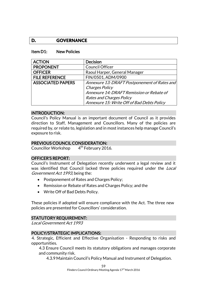# **D. GOVERNANCE**

#### Item D1: New Policies

| <b>ACTION</b>            | <b>Decision</b>                              |
|--------------------------|----------------------------------------------|
| <b>PROPONENT</b>         | <b>Council Officer</b>                       |
| <b>OFFICER</b>           | Raoul Harper, General Manager                |
| <b>FILE REFERENCE</b>    | FIN/0501, ADM/0900                           |
| <b>ASSOCIATED PAPERS</b> | Annexure 13: DRAFT Postponement of Rates and |
|                          | Charges Policy                               |
|                          | Annexure 14: DRAFT Remission or Rebate of    |
|                          | <b>Rates and Charges Policy</b>              |
|                          | Annexure 15: Write Off of Bad Debts Policy   |

#### INTRODUCTION:

Council's Policy Manual is an important document of Council as it provides direction to Staff, Management and Councillors. Many of the policies are required by, or relate to, legislation and in most instances help manage Council's exposure to risk.

#### PREVIOUS COUNCIL CONSIDERATION:

Councillor Workshop 4 4<sup>th</sup> February 2016.

#### OFFICER'S REPORT:

Council's Instrument of Delegation recently underwent a legal review and it was identified that Council lacked three policies required under the Local Government Act 1993, being the:

- Postponement of Rates and Charges Policy;
- Remission or Rebate of Rates and Charges Policy; and the
- Write Off of Bad Debts Policy.

These policies if adopted will ensure compliance with the Act. The three new policies are presented for Councillors' consideration.

# STATUTORY REQUIREMENT:

Local Government Act 1993

#### POLICY/STRATEGIC IMPLICATIONS:

4. Strategic, Efficient and Effective Organisation - Responding to risks and opportunities.

4.3 Ensure Council meets its statutory obligations and manages corporate and community risk.

4.3.9 Maintain Council's Policy Manual and Instrument of Delegation.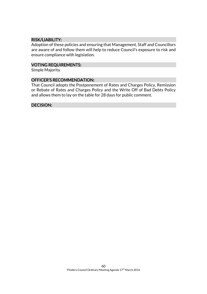# RISK/LIABILITY:

Adoption of these policies and ensuring that Management, Staff and Councillors are aware of and follow them will help to reduce Council's exposure to risk and ensure compliance with legislation.

#### VOTING REQUIREMENTS:

Simple Majority

### OFFICER'S RECOMMENDATION:

That Council adopts the Postponement of Rates and Charges Policy, Remission or Rebate of Rates and Charges Policy and the Write Off of Bad Debts Policy and allows them to lay on the table for 28 days for public comment.